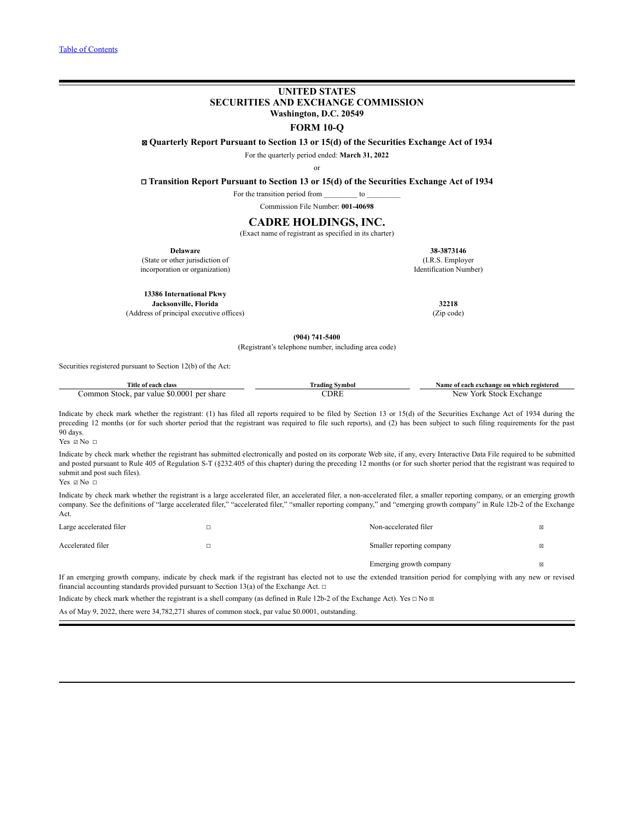# **UNITED STATES SECURITIES AND EXCHANGE COMMISSION Washington, D.C. 20549**

### **FORM 10-Q**

☒ **Quarterly Report Pursuant to Section 13 or 15(d) of the Securities Exchange Act of 1934**

For the quarterly period ended: **March 31, 2022**

or

☐ **Transition Report Pursuant to Section 13 or 15(d) of the Securities Exchange Act of 1934**

For the transition period from to

Commission File Number: **001-40698**

# **CADRE HOLDINGS, INC.**

(Exact name of registrant as specified in its charter)

(State or other jurisdiction of incorporation or organization)

**13386 International Pkwy Jacksonville, Florida 32218**

(Address of principal executive offices) (Zip code)

**Delaware 38-3873146** (I.R.S. Employer Identification Number)

**(904) 741-5400**

(Registrant's telephone number, including area code)

Securities registered pursuant to Section 12(b) of the Act:

| ïtle<br>each cls                                            | rading<br>Symbol | vame<br>ı which registered<br>ıch ex<br>on<br>change<br>ot es |
|-------------------------------------------------------------|------------------|---------------------------------------------------------------|
| .00C<br>ner<br>shar<br>`ommon<br>zalue<br>stoch<br>par<br>. | ж<br>ъu          | New<br>iange<br>York<br>stock                                 |

Indicate by check mark whether the registrant: (1) has filed all reports required to be filed by Section 13 or 15(d) of the Securities Exchange Act of 1934 during the preceding 12 months (or for such shorter period that the registrant was required to file such reports), and (2) has been subject to such filing requirements for the past 90 days.

Yes **☑** No □

Indicate by check mark whether the registrant has submitted electronically and posted on its corporate Web site, if any, every Interactive Data File required to be submitted and posted pursuant to Rule 405 of Regulation S-T (§232.405 of this chapter) during the preceding 12 months (or for such shorter period that the registrant was required to submit and post such files).

Yes **<u><del></u>** No □</u></del>

Indicate by check mark whether the registrant is a large accelerated filer, an accelerated filer, a non-accelerated filer, a smaller reporting company, or an emerging growth company. See the definitions of "large accelerated filer," "accelerated filer," "smaller reporting company," and "emerging growth company" in Rule 12b-2 of the Exchange Act.

| Large accelerated filer | ▭ | Non-accelerated filer     | $\boxtimes$ |
|-------------------------|---|---------------------------|-------------|
| Accelerated filer       | □ | Smaller reporting company | $\boxtimes$ |
|                         |   | Emerging growth company   | ⊠           |

If an emerging growth company, indicate by check mark if the registrant has elected not to use the extended transition period for complying with any new or revised financial accounting standards provided pursuant to Section 13(a) of the Exchange Act.  $□$ 

Indicate by check mark whether the registrant is a shell company (as defined in Rule 12b-2 of the Exchange Act). Yes □ No ⊠

As of May 9, 2022, there were 34,782,271 shares of common stock, par value \$0.0001, outstanding.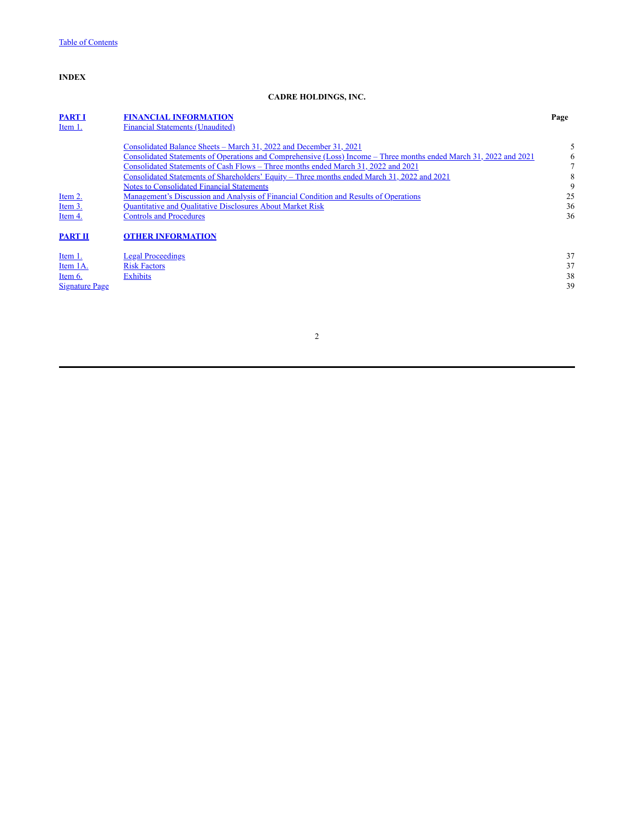# <span id="page-1-0"></span>**INDEX**

# **CADRE HOLDINGS, INC.**

| <b>PART I</b><br>Item 1.                                | <b>FINANCIAL INFORMATION</b><br><b>Financial Statements (Unaudited)</b>                                                                                                                                                                                                                                                                                                                                                                                                                                                                                                                                                      | Page                               |
|---------------------------------------------------------|------------------------------------------------------------------------------------------------------------------------------------------------------------------------------------------------------------------------------------------------------------------------------------------------------------------------------------------------------------------------------------------------------------------------------------------------------------------------------------------------------------------------------------------------------------------------------------------------------------------------------|------------------------------------|
| Item 2.<br>Item 3.<br>Item 4.                           | Consolidated Balance Sheets – March 31, 2022 and December 31, 2021<br>Consolidated Statements of Operations and Comprehensive (Loss) Income – Three months ended March 31, 2022 and 2021<br>Consolidated Statements of Cash Flows – Three months ended March 31, 2022 and 2021<br>Consolidated Statements of Shareholders' Equity – Three months ended March 31, 2022 and 2021<br><b>Notes to Consolidated Financial Statements</b><br>Management's Discussion and Analysis of Financial Condition and Results of Operations<br>Quantitative and Qualitative Disclosures About Market Risk<br><b>Controls and Procedures</b> | 5<br>6<br>8<br>9<br>25<br>36<br>36 |
| <b>PART II</b>                                          | <b>OTHER INFORMATION</b>                                                                                                                                                                                                                                                                                                                                                                                                                                                                                                                                                                                                     |                                    |
| Item 1.<br>Item 1A.<br>Item 6.<br><b>Signature Page</b> | <b>Legal Proceedings</b><br><b>Risk Factors</b><br><b>Exhibits</b>                                                                                                                                                                                                                                                                                                                                                                                                                                                                                                                                                           | 37<br>37<br>38<br>39               |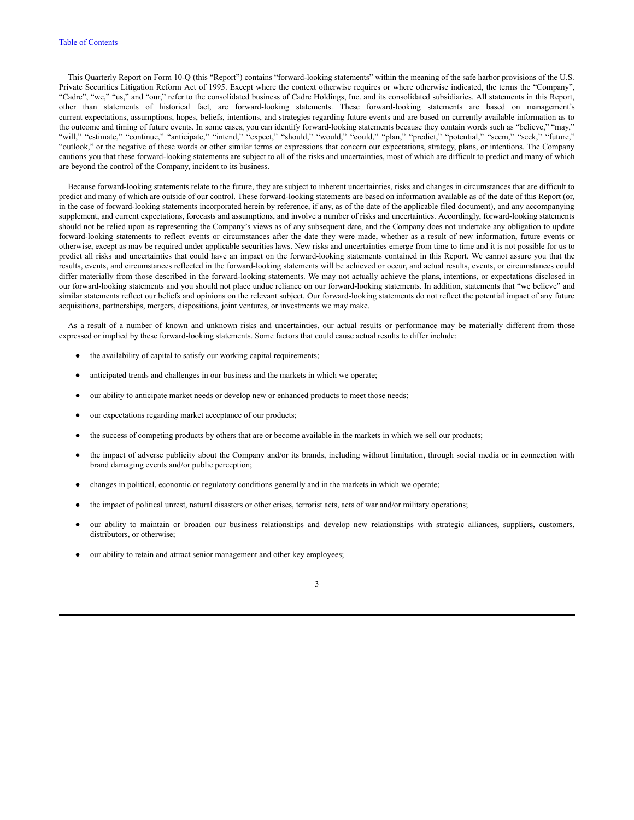#### Table of [Contents](#page-1-0)

This Quarterly Report on Form 10-Q (this "Report") contains "forward-looking statements" within the meaning of the safe harbor provisions of the U.S. Private Securities Litigation Reform Act of 1995. Except where the context otherwise requires or where otherwise indicated, the terms the "Company", "Cadre", "we," "us," and "our," refer to the consolidated business of Cadre Holdings, Inc. and its consolidated subsidiaries. All statements in this Report, other than statements of historical fact, are forward-looking statements. These forward-looking statements are based on management's current expectations, assumptions, hopes, beliefs, intentions, and strategies regarding future events and are based on currently available information as to the outcome and timing of future events. In some cases, you can identify forward-looking statements because they contain words such as "believe," "may," "will," "estimate," "continue," "anticipate," "intend," "expect," "should," "would," "pould," "predict," "potential," "seem," "seek," "future," "outlook," or the negative of these words or other similar terms or expressions that concern our expectations, strategy, plans, or intentions. The Company cautions you that these forward-looking statements are subject to all of the risks and uncertainties, most of which are difficult to predict and many of which are beyond the control of the Company, incident to its business.

Because forward-looking statements relate to the future, they are subject to inherent uncertainties, risks and changes in circumstances that are difficult to predict and many of which are outside of our control. These forward-looking statements are based on information available as of the date of this Report (or, in the case of forward-looking statements incorporated herein by reference, if any, as of the date of the applicable filed document), and any accompanying supplement, and current expectations, forecasts and assumptions, and involve a number of risks and uncertainties. Accordingly, forward-looking statements should not be relied upon as representing the Company's views as of any subsequent date, and the Company does not undertake any obligation to update forward-looking statements to reflect events or circumstances after the date they were made, whether as a result of new information, future events or otherwise, except as may be required under applicable securities laws. New risks and uncertainties emerge from time to time and it is not possible for us to predict all risks and uncertainties that could have an impact on the forward-looking statements contained in this Report. We cannot assure you that the results, events, and circumstances reflected in the forward-looking statements will be achieved or occur, and actual results, events, or circumstances could differ materially from those described in the forward-looking statements. We may not actually achieve the plans, intentions, or expectations disclosed in our forward-looking statements and you should not place undue reliance on our forward-looking statements. In addition, statements that "we believe" and similar statements reflect our beliefs and opinions on the relevant subject. Our forward-looking statements do not reflect the potential impact of any future acquisitions, partnerships, mergers, dispositions, joint ventures, or investments we may make.

As a result of a number of known and unknown risks and uncertainties, our actual results or performance may be materially different from those expressed or implied by these forward-looking statements. Some factors that could cause actual results to differ include:

- the availability of capital to satisfy our working capital requirements;
- anticipated trends and challenges in our business and the markets in which we operate;
- our ability to anticipate market needs or develop new or enhanced products to meet those needs;
- our expectations regarding market acceptance of our products;
- the success of competing products by others that are or become available in the markets in which we sell our products;
- the impact of adverse publicity about the Company and/or its brands, including without limitation, through social media or in connection with brand damaging events and/or public perception;
- changes in political, economic or regulatory conditions generally and in the markets in which we operate;
- the impact of political unrest, natural disasters or other crises, terrorist acts, acts of war and/or military operations;
- our ability to maintain or broaden our business relationships and develop new relationships with strategic alliances, suppliers, customers, distributors, or otherwise;
- our ability to retain and attract senior management and other key employees;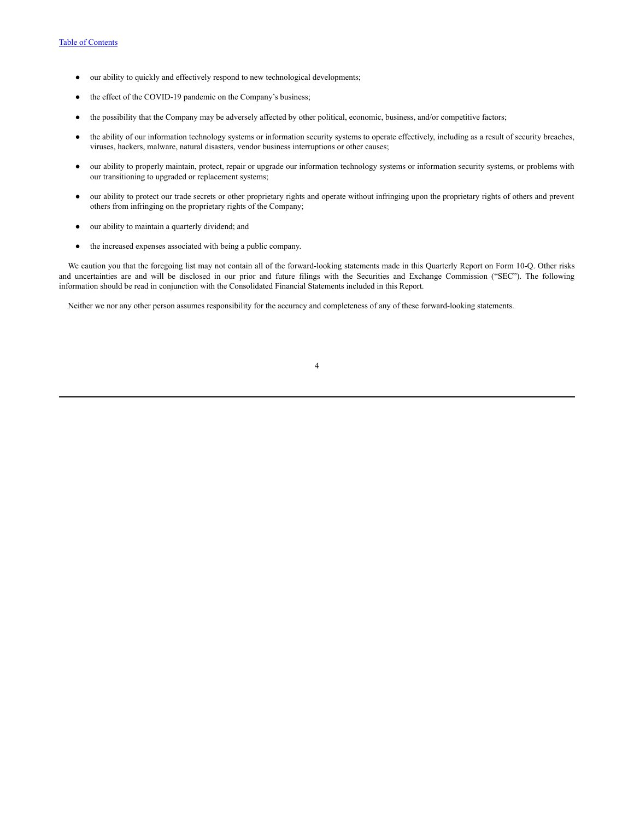- our ability to quickly and effectively respond to new technological developments;
- the effect of the COVID-19 pandemic on the Company's business;
- the possibility that the Company may be adversely affected by other political, economic, business, and/or competitive factors;
- the ability of our information technology systems or information security systems to operate effectively, including as a result of security breaches, viruses, hackers, malware, natural disasters, vendor business interruptions or other causes;
- our ability to properly maintain, protect, repair or upgrade our information technology systems or information security systems, or problems with our transitioning to upgraded or replacement systems;
- our ability to protect our trade secrets or other proprietary rights and operate without infringing upon the proprietary rights of others and prevent others from infringing on the proprietary rights of the Company;
- our ability to maintain a quarterly dividend; and
- the increased expenses associated with being a public company.

We caution you that the foregoing list may not contain all of the forward-looking statements made in this Quarterly Report on Form 10-Q. Other risks and uncertainties are and will be disclosed in our prior and future filings with the Securities and Exchange Commission ("SEC"). The following information should be read in conjunction with the Consolidated Financial Statements included in this Report.

Neither we nor any other person assumes responsibility for the accuracy and completeness of any of these forward-looking statements.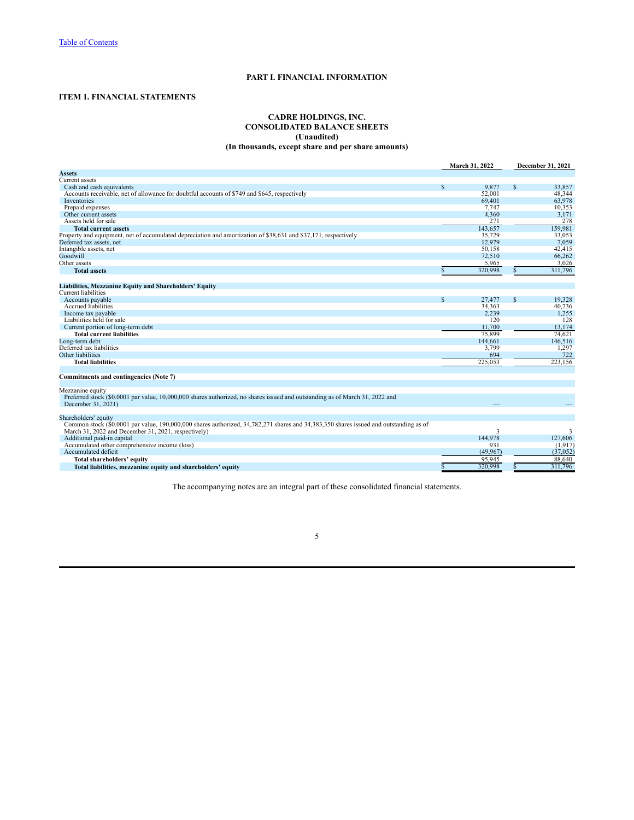# **PART I. FINANCIAL INFORMATION**

# <span id="page-4-2"></span><span id="page-4-1"></span><span id="page-4-0"></span>**ITEM 1. FINANCIAL STATEMENTS**

# **CADRE HOLDINGS, INC. CONSOLIDATED BALANCE SHEETS (Unaudited) (In thousands, except share and per share amounts)**

|                                                                                                                                                    | March 31, 2022 |               | December 31, 2021 |
|----------------------------------------------------------------------------------------------------------------------------------------------------|----------------|---------------|-------------------|
| <b>Assets</b>                                                                                                                                      |                |               |                   |
| Current assets                                                                                                                                     |                |               |                   |
| Cash and cash equivalents                                                                                                                          | \$<br>9.877    | S             | 33.857            |
| Accounts receivable, net of allowance for doubtful accounts of \$749 and \$645, respectively                                                       | 52,001         |               | 48,344            |
| Inventories                                                                                                                                        | 69.401         |               | 63.978            |
| Prepaid expenses                                                                                                                                   | 7.747          |               | 10,353            |
| Other current assets                                                                                                                               | 4.360          |               | 3,171             |
| Assets held for sale                                                                                                                               | 271            |               | 278               |
| <b>Total current assets</b>                                                                                                                        | 143.657        |               | 159.981           |
| Property and equipment, net of accumulated depreciation and amortization of \$38,631 and \$37,171, respectively                                    | 35.729         |               | 33.053            |
| Deferred tax assets, net                                                                                                                           | 12,979         |               | 7,059             |
| Intangible assets, net                                                                                                                             | 50,158         |               | 42.415            |
| Goodwill                                                                                                                                           | 72,510         |               | 66,262            |
| Other assets                                                                                                                                       | 5,965          |               | 3,026             |
| <b>Total assets</b>                                                                                                                                | 320,998        |               | 311,796           |
|                                                                                                                                                    |                |               |                   |
| <b>Liabilities, Mezzanine Equity and Shareholders' Equity</b>                                                                                      |                |               |                   |
| <b>Current liabilities</b>                                                                                                                         |                |               |                   |
| Accounts payable                                                                                                                                   | \$<br>27.477   | <sup>\$</sup> | 19,328            |
| <b>Accrued</b> liabilities                                                                                                                         | 34,363         |               | 40,736            |
| Income tax payable                                                                                                                                 | 2.239          |               | 1.255             |
| Liabilities held for sale                                                                                                                          | 120            |               | 128               |
| Current portion of long-term debt                                                                                                                  | 11.700         |               | 13.174            |
| <b>Total current liabilities</b>                                                                                                                   | 75.899         |               | 74.621            |
| Long-term debt                                                                                                                                     | 144.661        |               | 146,516           |
| Deferred tax liabilities                                                                                                                           | 3,799          |               | 1,297             |
| Other liabilities                                                                                                                                  | 694            |               | 722               |
| <b>Total liabilities</b>                                                                                                                           | 225.053        |               | 223.156           |
|                                                                                                                                                    |                |               |                   |
| Commitments and contingencies (Note 7)                                                                                                             |                |               |                   |
|                                                                                                                                                    |                |               |                   |
| Mezzanine equity                                                                                                                                   |                |               |                   |
| Preferred stock (\$0.0001 par value, 10,000,000 shares authorized, no shares issued and outstanding as of March 31, 2022 and<br>December 31, 2021) |                |               |                   |
|                                                                                                                                                    |                |               |                   |
| Shareholders' equity                                                                                                                               |                |               |                   |
| Common stock (\$0.0001 par value, 190,000,000 shares authorized, 34,782,271 shares and 34,383,350 shares issued and outstanding as of              |                |               |                   |
| March 31, 2022 and December 31, 2021, respectively)                                                                                                | 3              |               | 3                 |
| Additional paid-in capital                                                                                                                         | 144.978        |               | 127.606           |
| Accumulated other comprehensive income (loss)                                                                                                      | 931            |               | (1,917)           |
| Accumulated deficit                                                                                                                                | (49, 967)      |               | (37, 052)         |
| Total shareholders' equity                                                                                                                         | 95.945         |               | 88.640            |
| Total liabilities, mezzanine equity and shareholders' equity                                                                                       | 320,998        |               | 311.796           |
|                                                                                                                                                    |                |               |                   |

The accompanying notes are an integral part of these consolidated financial statements.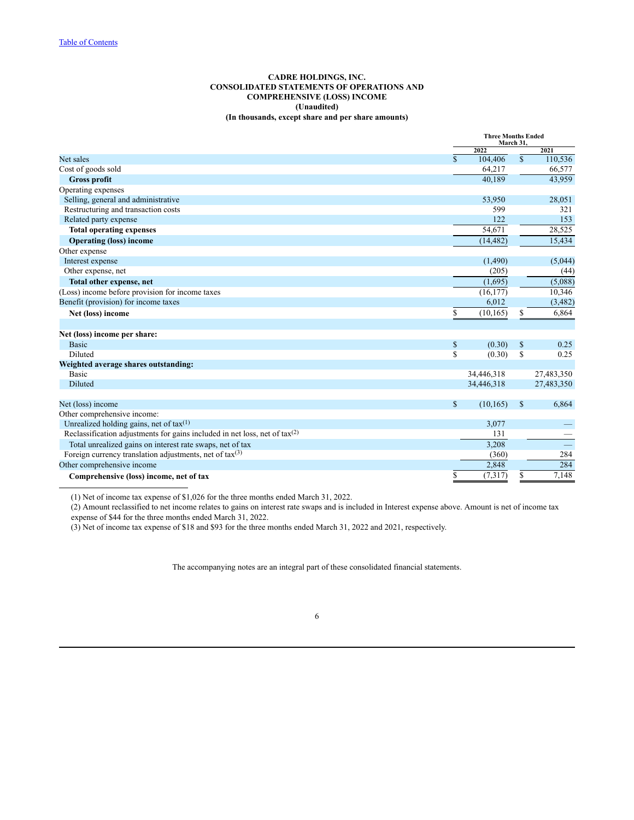# **CADRE HOLDINGS, INC. CONSOLIDATED STATEMENTS OF OPERATIONS AND COMPREHENSIVE (LOSS) INCOME (Unaudited)**

#### **(In thousands, except share and per share amounts)**

<span id="page-5-0"></span>

|                                                                                        |              | <b>Three Months Ended</b><br>March 31, |             |            |
|----------------------------------------------------------------------------------------|--------------|----------------------------------------|-------------|------------|
|                                                                                        |              | 2022                                   |             | 2021       |
| Net sales                                                                              | $\mathbf{s}$ | 104,406                                | $\mathbf S$ | 110,536    |
| Cost of goods sold                                                                     |              | 64,217                                 |             | 66,577     |
| <b>Gross profit</b>                                                                    |              | 40,189                                 |             | 43,959     |
| Operating expenses                                                                     |              |                                        |             |            |
| Selling, general and administrative                                                    |              | 53,950                                 |             | 28,051     |
| Restructuring and transaction costs                                                    |              | 599                                    |             | 321        |
| Related party expense                                                                  |              | 122                                    |             | 153        |
| <b>Total operating expenses</b>                                                        |              | 54,671                                 |             | 28,525     |
| <b>Operating (loss) income</b>                                                         |              | (14, 482)                              |             | 15,434     |
| Other expense                                                                          |              |                                        |             |            |
| Interest expense                                                                       |              | (1,490)                                |             | (5,044)    |
| Other expense, net                                                                     |              | (205)                                  |             | (44)       |
| Total other expense, net                                                               |              | (1,695)                                |             | (5,088)    |
| (Loss) income before provision for income taxes                                        |              | (16, 177)                              |             | 10,346     |
| Benefit (provision) for income taxes                                                   |              | 6,012                                  |             | (3,482)    |
| Net (loss) income                                                                      | \$           | (10, 165)                              | \$          | 6,864      |
|                                                                                        |              |                                        |             |            |
| Net (loss) income per share:                                                           |              |                                        |             |            |
| <b>Basic</b>                                                                           | \$           | (0.30)                                 | \$          | 0.25       |
| Diluted                                                                                | \$           | (0.30)                                 | S           | 0.25       |
| Weighted average shares outstanding:                                                   |              |                                        |             |            |
| <b>Basic</b>                                                                           |              | 34,446,318                             |             | 27,483,350 |
| <b>Diluted</b>                                                                         |              | 34,446,318                             |             | 27,483,350 |
|                                                                                        |              |                                        |             |            |
| Net (loss) income                                                                      | $\mathbb{S}$ | (10, 165)                              | \$          | 6,864      |
| Other comprehensive income:                                                            |              |                                        |             |            |
| Unrealized holding gains, net of $tax^{(1)}$                                           |              | 3,077                                  |             |            |
| Reclassification adjustments for gains included in net loss, net of $\text{tax}^{(2)}$ |              | 131                                    |             |            |
| Total unrealized gains on interest rate swaps, net of tax                              |              | 3,208                                  |             |            |
| Foreign currency translation adjustments, net of $tax^{(3)}$                           |              | (360)                                  |             | 284        |
| Other comprehensive income                                                             |              | 2,848                                  |             | 284        |
| Comprehensive (loss) income, net of tax                                                | \$           | (7, 317)                               | \$          | 7,148      |

(1) Net of income tax expense of \$1,026 for the three months ended March 31, 2022.

(2) Amount reclassified to net income relates to gains on interest rate swaps and is included in Interest expense above. Amount is net of income tax expense of \$44 for the three months ended March 31, 2022.

(3) Net of income tax expense of \$18 and \$93 for the three months ended March 31, 2022 and 2021, respectively.

The accompanying notes are an integral part of these consolidated financial statements.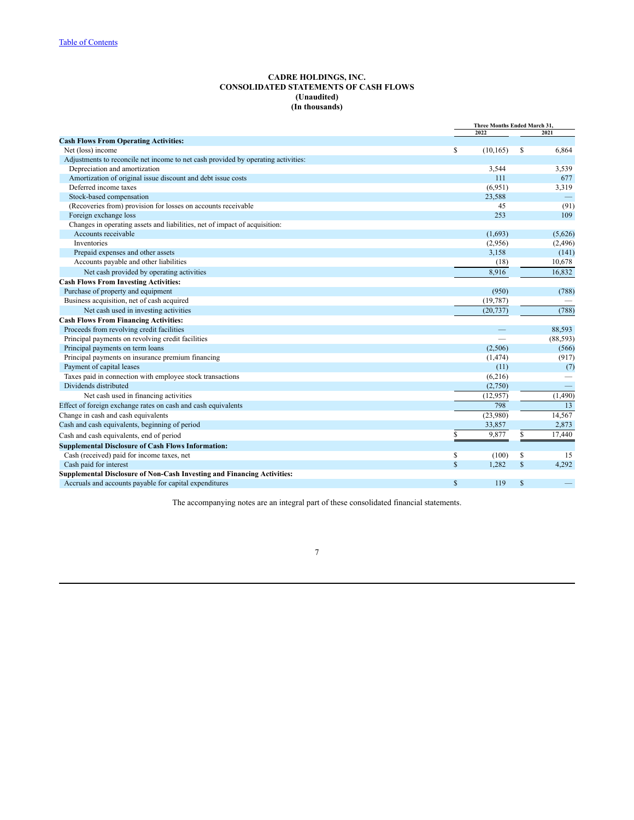#### **CADRE HOLDINGS, INC. CONSOLIDATED STATEMENTS OF CASH FLOWS (Unaudited) (In thousands)**

<span id="page-6-0"></span>

|                                                                                                   |              | Three Months Ended March 31, |    |                   |
|---------------------------------------------------------------------------------------------------|--------------|------------------------------|----|-------------------|
|                                                                                                   |              | 2022                         |    | 2021              |
| <b>Cash Flows From Operating Activities:</b>                                                      |              |                              |    |                   |
| Net (loss) income                                                                                 | \$           | (10, 165)                    | S  | 6,864             |
| Adjustments to reconcile net income to net cash provided by operating activities:                 |              |                              |    |                   |
| Depreciation and amortization                                                                     |              | 3,544                        |    | 3,539             |
| Amortization of original issue discount and debt issue costs                                      |              | 111                          |    | 677               |
| Deferred income taxes                                                                             |              | (6,951)                      |    | 3,319             |
| Stock-based compensation                                                                          |              | 23,588                       |    | $\qquad \qquad -$ |
| (Recoveries from) provision for losses on accounts receivable                                     |              | 45                           |    | (91)              |
| Foreign exchange loss                                                                             |              | 253                          |    | 109               |
| Changes in operating assets and liabilities, net of impact of acquisition:<br>Accounts receivable |              |                              |    |                   |
| Inventories                                                                                       |              | (1,693)                      |    | (5,626)           |
|                                                                                                   |              | (2,956)<br>3,158             |    | (2, 496)<br>(141) |
| Prepaid expenses and other assets<br>Accounts payable and other liabilities                       |              | (18)                         |    | 10,678            |
|                                                                                                   |              | 8,916                        |    |                   |
| Net cash provided by operating activities                                                         |              |                              |    | 16,832            |
| <b>Cash Flows From Investing Activities:</b>                                                      |              |                              |    |                   |
| Purchase of property and equipment                                                                |              | (950)                        |    | (788)             |
| Business acquisition, net of cash acquired                                                        |              | (19, 787)                    |    |                   |
| Net cash used in investing activities                                                             |              | (20, 737)                    |    | (788)             |
| <b>Cash Flows From Financing Activities:</b>                                                      |              |                              |    |                   |
| Proceeds from revolving credit facilities                                                         |              |                              |    | 88,593            |
| Principal payments on revolving credit facilities                                                 |              |                              |    | (88, 593)         |
| Principal payments on term loans                                                                  |              | (2,506)                      |    | (566)             |
| Principal payments on insurance premium financing                                                 |              | (1, 474)                     |    | (917)             |
| Payment of capital leases                                                                         |              | (11)                         |    | (7)               |
| Taxes paid in connection with employee stock transactions                                         |              | (6,216)                      |    |                   |
| Dividends distributed                                                                             |              | (2,750)                      |    |                   |
| Net cash used in financing activities                                                             |              | (12, 957)                    |    | (1, 490)          |
| Effect of foreign exchange rates on cash and cash equivalents                                     |              | 798                          |    | 13                |
| Change in cash and cash equivalents                                                               |              | (23,980)                     |    | 14,567            |
| Cash and cash equivalents, beginning of period                                                    |              | 33,857                       |    | 2,873             |
| Cash and cash equivalents, end of period                                                          | S            | 9,877                        | \$ | 17,440            |
| <b>Supplemental Disclosure of Cash Flows Information:</b>                                         |              |                              |    |                   |
| Cash (received) paid for income taxes, net                                                        | \$           | (100)                        | \$ | 15                |
| Cash paid for interest                                                                            | $\mathbb{S}$ | 1,282                        | \$ | 4,292             |
| Supplemental Disclosure of Non-Cash Investing and Financing Activities:                           |              |                              |    |                   |
| Accruals and accounts payable for capital expenditures                                            | \$           | 119                          | \$ |                   |

The accompanying notes are an integral part of these consolidated financial statements.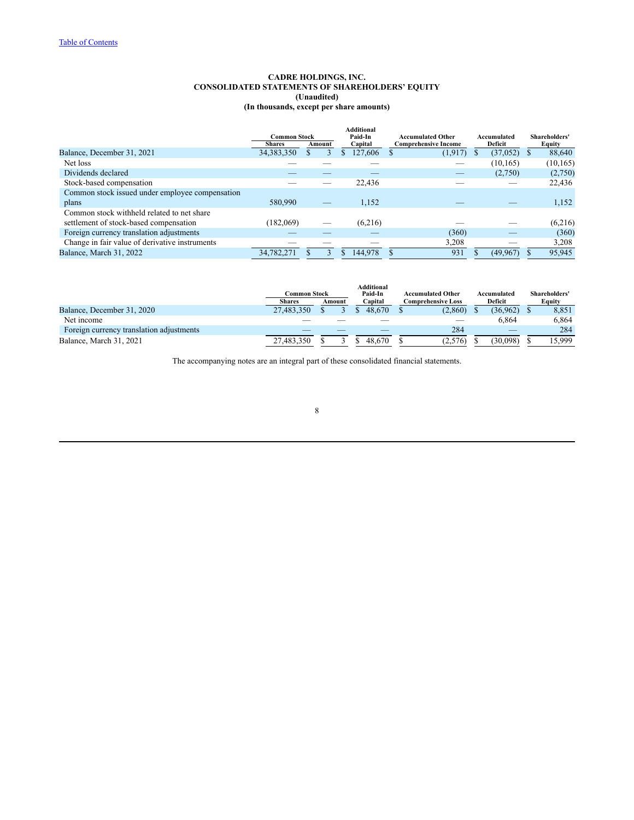#### **CADRE HOLDINGS, INC. CONSOLIDATED STATEMENTS OF SHAREHOLDERS' EQUITY (Unaudited) (In thousands, except per share amounts)**

<span id="page-7-0"></span>

|                                                 | <b>Common Stock</b><br><b>Shares</b> | Amount |    | <b>Additional</b><br>Paid-In<br>Capital | Accumulated Other<br><b>Comprehensive Income</b> |          | Accumulated<br>Deficit | Shareholders'<br>Equity |
|-------------------------------------------------|--------------------------------------|--------|----|-----------------------------------------|--------------------------------------------------|----------|------------------------|-------------------------|
| Balance, December 31, 2021                      | 34, 383, 350                         |        |    | 127,606                                 |                                                  | (1, 917) | (37,052)               | 88,640                  |
| Net loss                                        |                                      |        |    |                                         |                                                  |          | (10, 165)              | (10, 165)               |
| Dividends declared                              |                                      |        |    |                                         |                                                  |          | (2,750)                | (2,750)                 |
| Stock-based compensation                        |                                      |        |    | 22,436                                  |                                                  |          |                        | 22,436                  |
| Common stock issued under employee compensation |                                      |        |    |                                         |                                                  |          |                        |                         |
| plans                                           | 580,990                              |        |    | 1,152                                   |                                                  |          |                        | 1,152                   |
| Common stock withheld related to net share      |                                      |        |    |                                         |                                                  |          |                        |                         |
| settlement of stock-based compensation          | (182,069)                            |        |    | (6,216)                                 |                                                  |          |                        | (6,216)                 |
| Foreign currency translation adjustments        |                                      |        |    |                                         |                                                  | (360)    |                        | (360)                   |
| Change in fair value of derivative instruments  |                                      |        |    |                                         |                                                  | 3,208    |                        | 3,208                   |
| Balance, March 31, 2022                         | 34.782.271                           |        | S. | 144.978                                 |                                                  | 931      | (49, 967)              | 95,945                  |

|                                          |               |              |        |  | <b>Additional</b> |                          |                    |  |             |               |
|------------------------------------------|---------------|--------------|--------|--|-------------------|--------------------------|--------------------|--|-------------|---------------|
|                                          |               | Common Stock |        |  | Paid-In           | <b>Accumulated Other</b> |                    |  | Accumulated | Shareholders' |
|                                          | <b>Shares</b> |              | Amount |  | Capital           |                          | Comprehensive Loss |  | Deficit     | Equity        |
| Balance, December 31, 2020               | 27.483.350    |              |        |  | 48.670            |                          | (2.860)            |  | (36.962)    | 8,851         |
| Net income                               |               |              |        |  |                   |                          |                    |  | 6.864       | 6.864         |
| Foreign currency translation adjustments |               |              |        |  |                   |                          | 284                |  |             | 284           |
| Balance, March 31, 2021                  | 27.483.350    |              |        |  | 48.670            |                          | (2.576)            |  | (30.098)    | 15.999        |
|                                          |               |              |        |  |                   |                          |                    |  |             |               |

The accompanying notes are an integral part of these consolidated financial statements.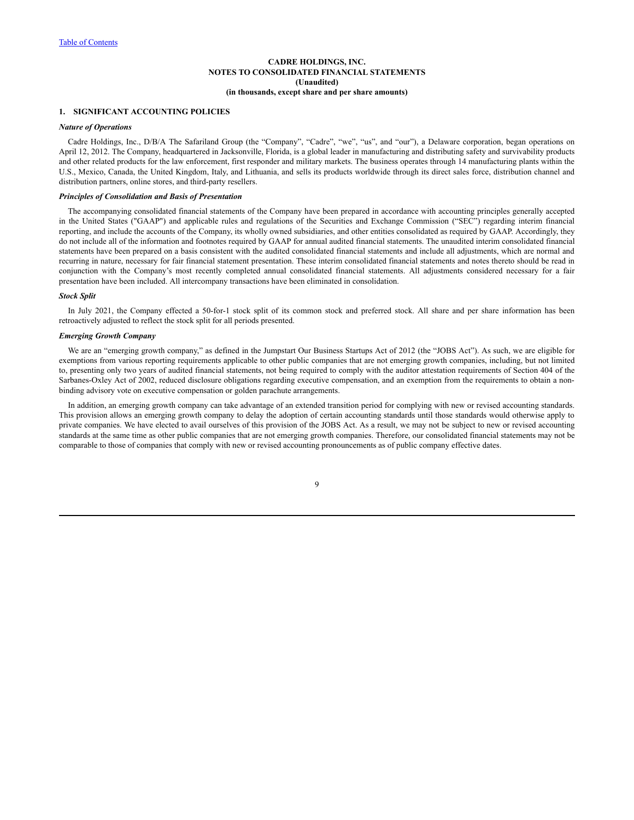#### <span id="page-8-0"></span>**1. SIGNIFICANT ACCOUNTING POLICIES**

#### *Nature of Operations*

Cadre Holdings, Inc., D/B/A The Safariland Group (the "Company", "Cadre", "we", "us", and "our"), a Delaware corporation, began operations on April 12, 2012. The Company, headquartered in Jacksonville, Florida, is a global leader in manufacturing and distributing safety and survivability products and other related products for the law enforcement, first responder and military markets. The business operates through 14 manufacturing plants within the U.S., Mexico, Canada, the United Kingdom, Italy, and Lithuania, and sells its products worldwide through its direct sales force, distribution channel and distribution partners, online stores, and third-party resellers.

#### *Principles of Consolidation and Basis of Presentation*

The accompanying consolidated financial statements of the Company have been prepared in accordance with accounting principles generally accepted in the United States ("GAAP") and applicable rules and regulations of the Securities and Exchange Commission ("SEC") regarding interim financial reporting, and include the accounts of the Company, its wholly owned subsidiaries, and other entities consolidated as required by GAAP. Accordingly, they do not include all of the information and footnotes required by GAAP for annual audited financial statements. The unaudited interim consolidated financial statements have been prepared on a basis consistent with the audited consolidated financial statements and include all adjustments, which are normal and recurring in nature, necessary for fair financial statement presentation. These interim consolidated financial statements and notes thereto should be read in conjunction with the Company's most recently completed annual consolidated financial statements. All adjustments considered necessary for a fair presentation have been included. All intercompany transactions have been eliminated in consolidation.

#### *Stock Split*

In July 2021, the Company effected a 50-for-1 stock split of its common stock and preferred stock. All share and per share information has been retroactively adjusted to reflect the stock split for all periods presented.

### *Emerging Growth Company*

We are an "emerging growth company," as defined in the Jumpstart Our Business Startups Act of 2012 (the "JOBS Act"). As such, we are eligible for exemptions from various reporting requirements applicable to other public companies that are not emerging growth companies, including, but not limited to, presenting only two years of audited financial statements, not being required to comply with the auditor attestation requirements of Section 404 of the Sarbanes-Oxley Act of 2002, reduced disclosure obligations regarding executive compensation, and an exemption from the requirements to obtain a nonbinding advisory vote on executive compensation or golden parachute arrangements.

In addition, an emerging growth company can take advantage of an extended transition period for complying with new or revised accounting standards. This provision allows an emerging growth company to delay the adoption of certain accounting standards until those standards would otherwise apply to private companies. We have elected to avail ourselves of this provision of the JOBS Act. As a result, we may not be subject to new or revised accounting standards at the same time as other public companies that are not emerging growth companies. Therefore, our consolidated financial statements may not be comparable to those of companies that comply with new or revised accounting pronouncements as of public company effective dates.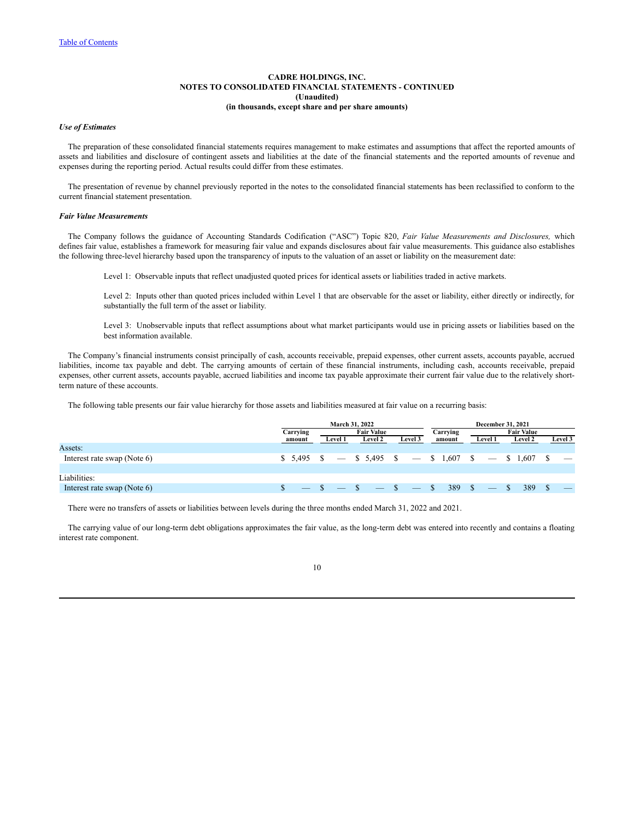#### *Use of Estimates*

The preparation of these consolidated financial statements requires management to make estimates and assumptions that affect the reported amounts of assets and liabilities and disclosure of contingent assets and liabilities at the date of the financial statements and the reported amounts of revenue and expenses during the reporting period. Actual results could differ from these estimates.

The presentation of revenue by channel previously reported in the notes to the consolidated financial statements has been reclassified to conform to the current financial statement presentation.

#### *Fair Value Measurements*

The Company follows the guidance of Accounting Standards Codification ("ASC") Topic 820, *Fair Value Measurements and Disclosures,* which defines fair value, establishes a framework for measuring fair value and expands disclosures about fair value measurements. This guidance also establishes the following three-level hierarchy based upon the transparency of inputs to the valuation of an asset or liability on the measurement date:

Level 1: Observable inputs that reflect unadjusted quoted prices for identical assets or liabilities traded in active markets.

Level 2: Inputs other than quoted prices included within Level 1 that are observable for the asset or liability, either directly or indirectly, for substantially the full term of the asset or liability.

Level 3: Unobservable inputs that reflect assumptions about what market participants would use in pricing assets or liabilities based on the best information available.

The Company's financial instruments consist principally of cash, accounts receivable, prepaid expenses, other current assets, accounts payable, accrued liabilities, income tax payable and debt. The carrying amounts of certain of these financial instruments, including cash, accounts receivable, prepaid expenses, other current assets, accounts payable, accrued liabilities and income tax payable approximate their current fair value due to the relatively shortterm nature of these accounts.

The following table presents our fair value hierarchy for those assets and liabilities measured at fair value on a recurring basis:

|                                | March 31, 2022<br><b>December 31, 2021</b>                     |  |                |  |                   |  |         |  |          |                   |                |  |         |  |         |
|--------------------------------|----------------------------------------------------------------|--|----------------|--|-------------------|--|---------|--|----------|-------------------|----------------|--|---------|--|---------|
|                                | Carrving                                                       |  |                |  | <b>Fair Value</b> |  |         |  | Carrving | <b>Fair Value</b> |                |  |         |  |         |
|                                | amount                                                         |  | <b>Level 1</b> |  | Level 2           |  | Level 3 |  | amount   |                   | <b>Level 1</b> |  | Level 2 |  | Level 3 |
| Assets:                        |                                                                |  |                |  |                   |  |         |  |          |                   |                |  |         |  |         |
| Interest rate swap (Note $6$ ) | $$5,495$ $$5,495$ $$5,495$ $$5,495$ $$5,607$ $$5,607$ $$5,607$ |  |                |  |                   |  |         |  |          |                   |                |  |         |  |         |
|                                |                                                                |  |                |  |                   |  |         |  |          |                   |                |  |         |  |         |
| Liabilities:                   |                                                                |  |                |  |                   |  |         |  |          |                   |                |  |         |  |         |
| Interest rate swap (Note $6$ ) | $ -$                                                           |  |                |  |                   |  | $-$ S   |  | 389      |                   |                |  | 389     |  |         |

There were no transfers of assets or liabilities between levels during the three months ended March 31, 2022 and 2021.

The carrying value of our long-term debt obligations approximates the fair value, as the long-term debt was entered into recently and contains a floating interest rate component.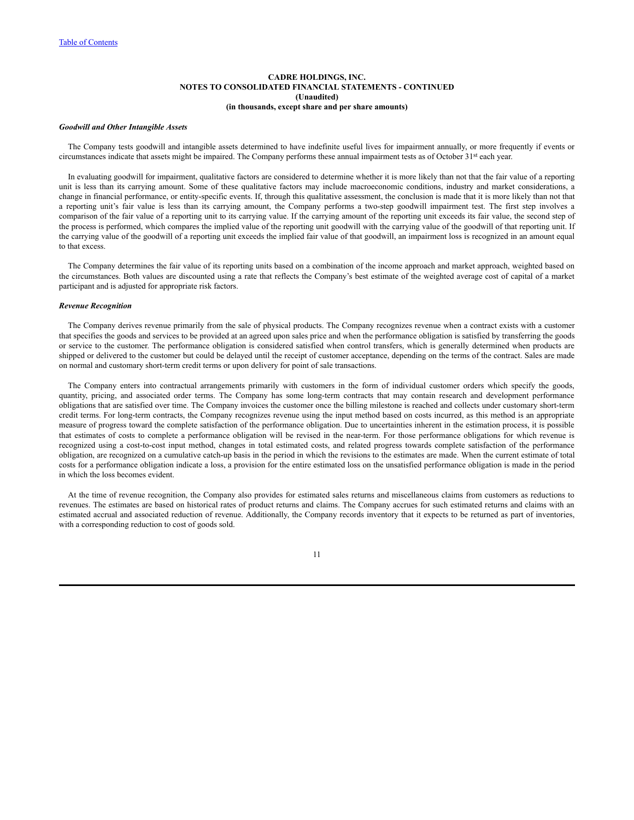## *Goodwill and Other Intangible Assets*

The Company tests goodwill and intangible assets determined to have indefinite useful lives for impairment annually, or more frequently if events or circumstances indicate that assets might be impaired. The Company performs these annual impairment tests as of October 31<sup>st</sup> each year.

In evaluating goodwill for impairment, qualitative factors are considered to determine whether it is more likely than not that the fair value of a reporting unit is less than its carrying amount. Some of these qualitative factors may include macroeconomic conditions, industry and market considerations, a change in financial performance, or entity-specific events. If, through this qualitative assessment, the conclusion is made that it is more likely than not that a reporting unit's fair value is less than its carrying amount, the Company performs a two-step goodwill impairment test. The first step involves a comparison of the fair value of a reporting unit to its carrying value. If the carrying amount of the reporting unit exceeds its fair value, the second step of the process is performed, which compares the implied value of the reporting unit goodwill with the carrying value of the goodwill of that reporting unit. If the carrying value of the goodwill of a reporting unit exceeds the implied fair value of that goodwill, an impairment loss is recognized in an amount equal to that excess.

The Company determines the fair value of its reporting units based on a combination of the income approach and market approach, weighted based on the circumstances. Both values are discounted using a rate that reflects the Company's best estimate of the weighted average cost of capital of a market participant and is adjusted for appropriate risk factors.

#### *Revenue Recognition*

The Company derives revenue primarily from the sale of physical products. The Company recognizes revenue when a contract exists with a customer that specifies the goods and services to be provided at an agreed upon sales price and when the performance obligation is satisfied by transferring the goods or service to the customer. The performance obligation is considered satisfied when control transfers, which is generally determined when products are shipped or delivered to the customer but could be delayed until the receipt of customer acceptance, depending on the terms of the contract. Sales are made on normal and customary short-term credit terms or upon delivery for point of sale transactions.

The Company enters into contractual arrangements primarily with customers in the form of individual customer orders which specify the goods, quantity, pricing, and associated order terms. The Company has some long-term contracts that may contain research and development performance obligations that are satisfied over time. The Company invoices the customer once the billing milestone is reached and collects under customary short-term credit terms. For long-term contracts, the Company recognizes revenue using the input method based on costs incurred, as this method is an appropriate measure of progress toward the complete satisfaction of the performance obligation. Due to uncertainties inherent in the estimation process, it is possible that estimates of costs to complete a performance obligation will be revised in the near-term. For those performance obligations for which revenue is recognized using a cost-to-cost input method, changes in total estimated costs, and related progress towards complete satisfaction of the performance obligation, are recognized on a cumulative catch-up basis in the period in which the revisions to the estimates are made. When the current estimate of total costs for a performance obligation indicate a loss, a provision for the entire estimated loss on the unsatisfied performance obligation is made in the period in which the loss becomes evident.

At the time of revenue recognition, the Company also provides for estimated sales returns and miscellaneous claims from customers as reductions to revenues. The estimates are based on historical rates of product returns and claims. The Company accrues for such estimated returns and claims with an estimated accrual and associated reduction of revenue. Additionally, the Company records inventory that it expects to be returned as part of inventories, with a corresponding reduction to cost of goods sold.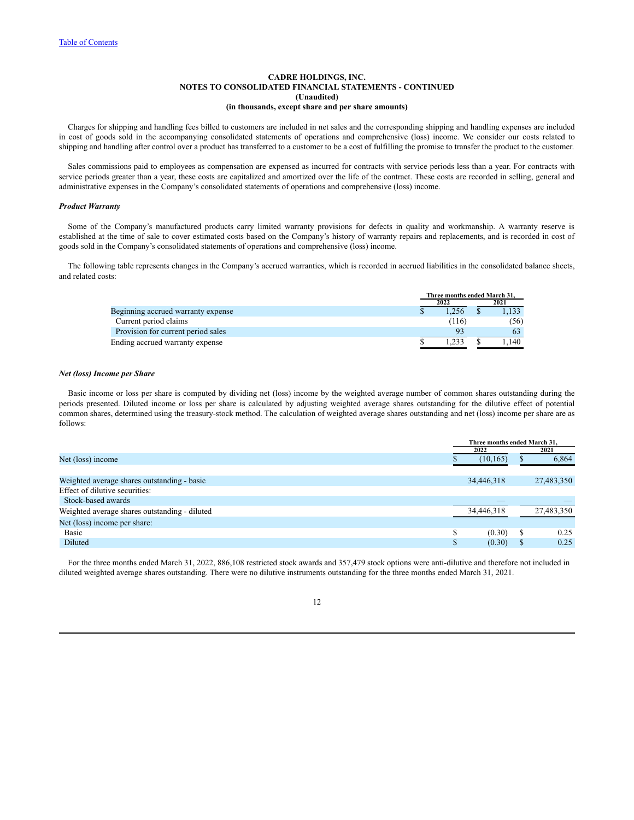Charges for shipping and handling fees billed to customers are included in net sales and the corresponding shipping and handling expenses are included in cost of goods sold in the accompanying consolidated statements of operations and comprehensive (loss) income. We consider our costs related to shipping and handling after control over a product has transferred to a customer to be a cost of fulfilling the promise to transfer the product to the customer.

Sales commissions paid to employees as compensation are expensed as incurred for contracts with service periods less than a year. For contracts with service periods greater than a year, these costs are capitalized and amortized over the life of the contract. These costs are recorded in selling, general and administrative expenses in the Company's consolidated statements of operations and comprehensive (loss) income.

## *Product Warranty*

Some of the Company's manufactured products carry limited warranty provisions for defects in quality and workmanship. A warranty reserve is established at the time of sale to cover estimated costs based on the Company's history of warranty repairs and replacements, and is recorded in cost of goods sold in the Company's consolidated statements of operations and comprehensive (loss) income.

The following table represents changes in the Company's accrued warranties, which is recorded in accrued liabilities in the consolidated balance sheets, and related costs:

|                                    | Three months ended March 31. |  |      |
|------------------------------------|------------------------------|--|------|
|                                    | 2022                         |  | 2021 |
| Beginning accrued warranty expense | 1.256                        |  |      |
| Current period claims              | (116)                        |  | (56) |
| Provision for current period sales |                              |  | 63   |
| Ending accrued warranty expense    |                              |  | .140 |

#### *Net (loss) Income per Share*

Basic income or loss per share is computed by dividing net (loss) income by the weighted average number of common shares outstanding during the periods presented. Diluted income or loss per share is calculated by adjusting weighted average shares outstanding for the dilutive effect of potential common shares, determined using the treasury-stock method. The calculation of weighted average shares outstanding and net (loss) income per share are as follows:

|                                               | Three months ended March 31. |            |
|-----------------------------------------------|------------------------------|------------|
|                                               | 2022                         | 2021       |
| Net (loss) income                             | (10, 165)                    | 6,864      |
|                                               |                              |            |
| Weighted average shares outstanding - basic   | 34,446,318                   | 27,483,350 |
| Effect of dilutive securities:                |                              |            |
| Stock-based awards                            |                              |            |
| Weighted average shares outstanding - diluted | 34,446,318                   | 27,483,350 |
| Net (loss) income per share:                  |                              |            |
| Basic                                         | (0.30)                       | 0.25       |
| Diluted                                       | (0.30)                       | 0.25       |
|                                               |                              |            |

For the three months ended March 31, 2022, 886,108 restricted stock awards and 357,479 stock options were anti-dilutive and therefore not included in diluted weighted average shares outstanding. There were no dilutive instruments outstanding for the three months ended March 31, 2021.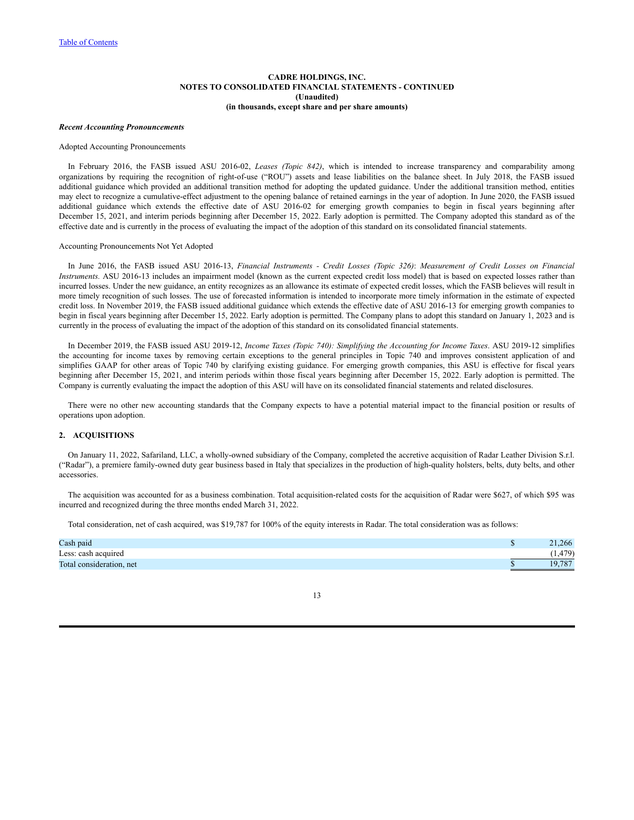#### *Recent Accounting Pronouncements*

#### Adopted Accounting Pronouncements

In February 2016, the FASB issued ASU 2016-02, *Leases (Topic 842)*, which is intended to increase transparency and comparability among organizations by requiring the recognition of right-of-use ("ROU") assets and lease liabilities on the balance sheet. In July 2018, the FASB issued additional guidance which provided an additional transition method for adopting the updated guidance. Under the additional transition method, entities may elect to recognize a cumulative-effect adjustment to the opening balance of retained earnings in the year of adoption. In June 2020, the FASB issued additional guidance which extends the effective date of ASU 2016-02 for emerging growth companies to begin in fiscal years beginning after December 15, 2021, and interim periods beginning after December 15, 2022. Early adoption is permitted. The Company adopted this standard as of the effective date and is currently in the process of evaluating the impact of the adoption of this standard on its consolidated financial statements.

#### Accounting Pronouncements Not Yet Adopted

In June 2016, the FASB issued ASU 2016-13, Financial Instruments - Credit Losses (Topic 326): Measurement of Credit Losses on Financial *Instruments.* ASU 2016-13 includes an impairment model (known as the current expected credit loss model) that is based on expected losses rather than incurred losses. Under the new guidance, an entity recognizes as an allowance its estimate of expected credit losses, which the FASB believes will result in more timely recognition of such losses. The use of forecasted information is intended to incorporate more timely information in the estimate of expected credit loss. In November 2019, the FASB issued additional guidance which extends the effective date of ASU 2016-13 for emerging growth companies to begin in fiscal years beginning after December 15, 2022. Early adoption is permitted. The Company plans to adopt this standard on January 1, 2023 and is currently in the process of evaluating the impact of the adoption of this standard on its consolidated financial statements.

In December 2019, the FASB issued ASU 2019-12, *Income Taxes (Topic 740): Simplifying the Accounting for Income Taxes*. ASU 2019-12 simplifies the accounting for income taxes by removing certain exceptions to the general principles in Topic 740 and improves consistent application of and simplifies GAAP for other areas of Topic 740 by clarifying existing guidance. For emerging growth companies, this ASU is effective for fiscal years beginning after December 15, 2021, and interim periods within those fiscal years beginning after December 15, 2022. Early adoption is permitted. The Company is currently evaluating the impact the adoption of this ASU will have on its consolidated financial statements and related disclosures.

There were no other new accounting standards that the Company expects to have a potential material impact to the financial position or results of operations upon adoption.

#### **2. ACQUISITIONS**

On January 11, 2022, Safariland, LLC, a wholly-owned subsidiary of the Company, completed the accretive acquisition of Radar Leather Division S.r.l. ("Radar"), a premiere family-owned duty gear business based in Italy that specializes in the production of high-quality holsters, belts, duty belts, and other accessories.

The acquisition was accounted for as a business combination. Total acquisition-related costs for the acquisition of Radar were \$627, of which \$95 was incurred and recognized during the three months ended March 31, 2022.

Total consideration, net of cash acquired, was \$19,787 for 100% of the equity interests in Radar. The total consideration was as follows:

| Cash paid                | 21.266      |
|--------------------------|-------------|
| Less: cash acquired      | $470^\circ$ |
| Total consideration, net | .787        |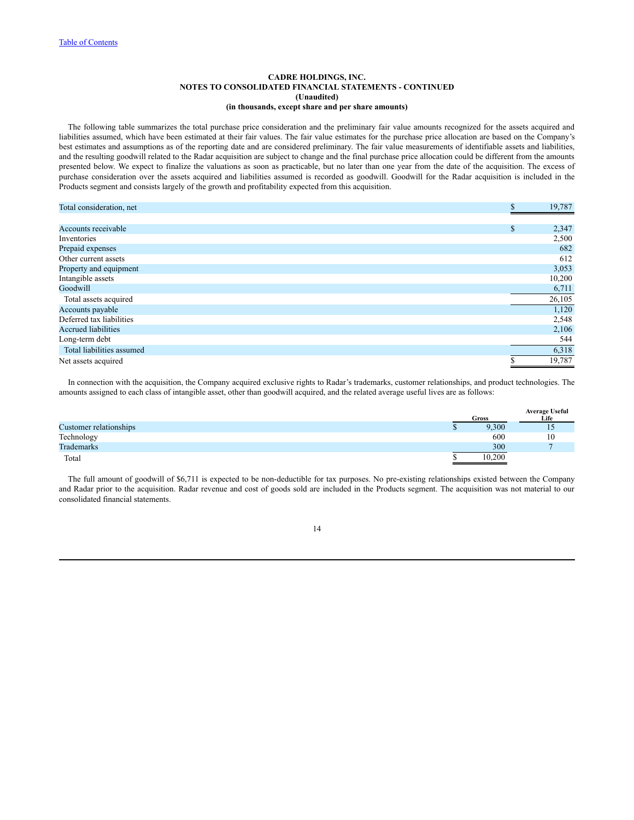The following table summarizes the total purchase price consideration and the preliminary fair value amounts recognized for the assets acquired and liabilities assumed, which have been estimated at their fair values. The fair value estimates for the purchase price allocation are based on the Company's best estimates and assumptions as of the reporting date and are considered preliminary. The fair value measurements of identifiable assets and liabilities, and the resulting goodwill related to the Radar acquisition are subject to change and the final purchase price allocation could be different from the amounts presented below. We expect to finalize the valuations as soon as practicable, but no later than one year from the date of the acquisition. The excess of purchase consideration over the assets acquired and liabilities assumed is recorded as goodwill. Goodwill for the Radar acquisition is included in the Products segment and consists largely of the growth and profitability expected from this acquisition.

| Total consideration, net   | $\mathcal{S}$ | 19,787 |
|----------------------------|---------------|--------|
|                            |               |        |
| Accounts receivable        | \$            | 2,347  |
| Inventories                |               | 2,500  |
| Prepaid expenses           |               | 682    |
| Other current assets       |               | 612    |
| Property and equipment     |               | 3,053  |
| Intangible assets          |               | 10,200 |
| Goodwill                   |               | 6,711  |
| Total assets acquired      |               | 26,105 |
| Accounts payable           |               | 1,120  |
| Deferred tax liabilities   |               | 2,548  |
| <b>Accrued liabilities</b> |               | 2,106  |
| Long-term debt             |               | 544    |
| Total liabilities assumed  |               | 6,318  |
| Net assets acquired        |               | 19,787 |

In connection with the acquisition, the Company acquired exclusive rights to Radar's trademarks, customer relationships, and product technologies. The amounts assigned to each class of intangible asset, other than goodwill acquired, and the related average useful lives are as follows:

|                        | Gross  | <b>Average Useful</b><br>Life |
|------------------------|--------|-------------------------------|
| Customer relationships | 9,300  |                               |
| Technology             | 600    | 10                            |
| Trademarks             | 300    |                               |
| Total                  | 10,200 |                               |

The full amount of goodwill of \$6,711 is expected to be non-deductible for tax purposes. No pre-existing relationships existed between the Company and Radar prior to the acquisition. Radar revenue and cost of goods sold are included in the Products segment. The acquisition was not material to our consolidated financial statements.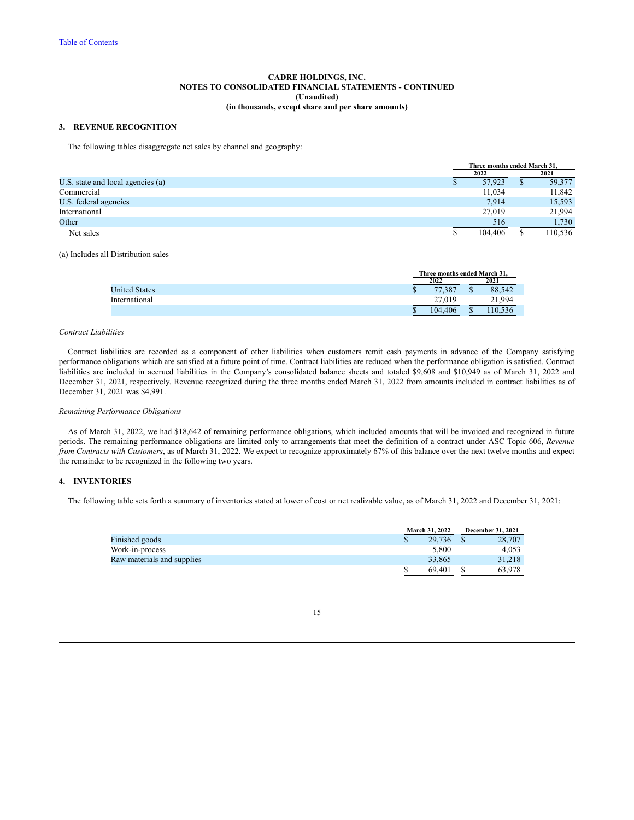# **3. REVENUE RECOGNITION**

The following tables disaggregate net sales by channel and geography:

|                                   | Three months ended March 31. |         |  |         |  |
|-----------------------------------|------------------------------|---------|--|---------|--|
|                                   |                              | 2022    |  | 2021    |  |
| U.S. state and local agencies (a) |                              | 57,923  |  | 59,377  |  |
| Commercial                        |                              | 11,034  |  | 11,842  |  |
| U.S. federal agencies             |                              | 7.914   |  | 15,593  |  |
| International                     |                              | 27,019  |  | 21,994  |  |
| Other                             |                              | 516     |  | 1,730   |  |
| Net sales                         |                              | 104,406 |  | 110,536 |  |

#### (a) Includes all Distribution sales

|               |      | Three months ended March 31. |        |  |  |
|---------------|------|------------------------------|--------|--|--|
|               | 2022 |                              | 2021   |  |  |
| United States |      | 77.387                       | 88.542 |  |  |
| International |      | 27.019                       | 21.994 |  |  |
|               |      | 104.406                      | 10.536 |  |  |

## *Contract Liabilities*

Contract liabilities are recorded as a component of other liabilities when customers remit cash payments in advance of the Company satisfying performance obligations which are satisfied at a future point of time. Contract liabilities are reduced when the performance obligation is satisfied. Contract liabilities are included in accrued liabilities in the Company's consolidated balance sheets and totaled \$9,608 and \$10,949 as of March 31, 2022 and December 31, 2021, respectively. Revenue recognized during the three months ended March 31, 2022 from amounts included in contract liabilities as of December 31, 2021 was \$4,991.

#### *Remaining Performance Obligations*

As of March 31, 2022, we had \$18,642 of remaining performance obligations, which included amounts that will be invoiced and recognized in future periods. The remaining performance obligations are limited only to arrangements that meet the definition of a contract under ASC Topic 606, *Revenue from Contracts with Customers*, as of March 31, 2022. We expect to recognize approximately 67% of this balance over the next twelve months and expect the remainder to be recognized in the following two years.

## **4. INVENTORIES**

The following table sets forth a summary of inventories stated at lower of cost or net realizable value, as of March 31, 2022 and December 31, 2021:

|                            | <b>March 31, 2022</b> | <b>December 31, 2021</b> |
|----------------------------|-----------------------|--------------------------|
| Finished goods             | 29.736                | 28.707                   |
| Work-in-process            | 5.800                 | 4.053                    |
| Raw materials and supplies | 33.865                | 31.218                   |
|                            | 69.401                | 63.978                   |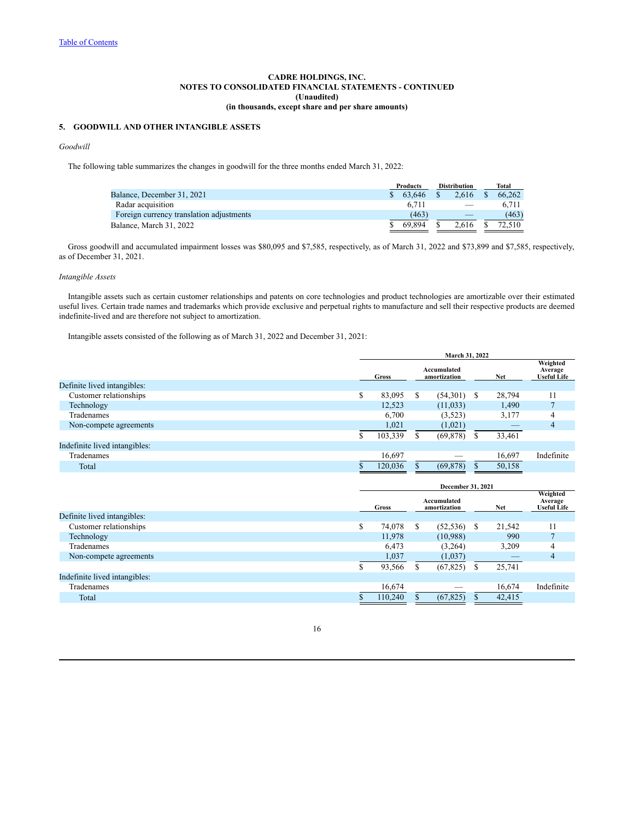# **5. GOODWILL AND OTHER INTANGIBLE ASSETS**

## *Goodwill*

The following table summarizes the changes in goodwill for the three months ended March 31, 2022:

|                                          | <b>Products</b> | <b>Distribution</b> | Total  |
|------------------------------------------|-----------------|---------------------|--------|
| Balance, December 31, 2021               | 63.646          | 2.616               | 66.262 |
| Radar acquisition                        | 6.711           |                     |        |
| Foreign currency translation adjustments | (463)           |                     | (463)  |
| Balance, March 31, 2022                  | 69 894          | 2.616               | 72.510 |

Gross goodwill and accumulated impairment losses was \$80,095 and \$7,585, respectively, as of March 31, 2022 and \$73,899 and \$7,585, respectively, as of December 31, 2021.

# *Intangible Assets*

Intangible assets such as certain customer relationships and patents on core technologies and product technologies are amortizable over their estimated useful lives. Certain trade names and trademarks which provide exclusive and perpetual rights to manufacture and sell their respective products are deemed indefinite-lived and are therefore not subject to amortization.

Intangible assets consisted of the following as of March 31, 2022 and December 31, 2021:

|                               | March 31, 2022 |              |    |                             |    |        |                                           |  |
|-------------------------------|----------------|--------------|----|-----------------------------|----|--------|-------------------------------------------|--|
|                               |                | <b>Gross</b> |    | Accumulated<br>amortization |    | Net    | Weighted<br>Average<br><b>Useful Life</b> |  |
| Definite lived intangibles:   |                |              |    |                             |    |        |                                           |  |
| Customer relationships        | \$             | 83,095       | \$ | (54,301)                    | -S | 28,794 | 11                                        |  |
| Technology                    |                | 12,523       |    | (11,033)                    |    | 1,490  |                                           |  |
| Tradenames                    |                | 6,700        |    | (3,523)                     |    | 3,177  | 4                                         |  |
| Non-compete agreements        |                | 1,021        |    | (1,021)                     |    |        | 4                                         |  |
|                               |                | 103,339      | \$ | (69, 878)                   | S  | 33,461 |                                           |  |
| Indefinite lived intangibles: |                |              |    |                             |    |        |                                           |  |
| Tradenames                    |                | 16,697       |    | __                          |    | 16,697 | Indefinite                                |  |
| Total                         |                | 120,036      |    | (69, 878)                   | \$ | 50,158 |                                           |  |
|                               |                |              |    |                             |    |        |                                           |  |

|                               | December 31, 2021 |         |   |                             |    |        |                                           |
|-------------------------------|-------------------|---------|---|-----------------------------|----|--------|-------------------------------------------|
|                               |                   | Gross   |   | Accumulated<br>amortization |    | Net    | Weighted<br>Average<br><b>Useful Life</b> |
| Definite lived intangibles:   |                   |         |   |                             |    |        |                                           |
| Customer relationships        | \$                | 74,078  | S | (52, 536)                   | \$ | 21,542 | 11                                        |
| Technology                    |                   | 11,978  |   | (10,988)                    |    | 990    |                                           |
| Tradenames                    |                   | 6.473   |   | (3,264)                     |    | 3,209  | 4                                         |
| Non-compete agreements        |                   | 1,037   |   | (1,037)                     |    |        | 4                                         |
|                               |                   | 93,566  |   | (67, 825)                   |    | 25,741 |                                           |
| Indefinite lived intangibles: |                   |         |   |                             |    |        |                                           |
| Tradenames                    |                   | 16,674  |   |                             |    | 16,674 | Indefinite                                |
| Total                         |                   | 110,240 |   | (67, 825)                   |    | 42,415 |                                           |
|                               |                   |         |   |                             |    |        |                                           |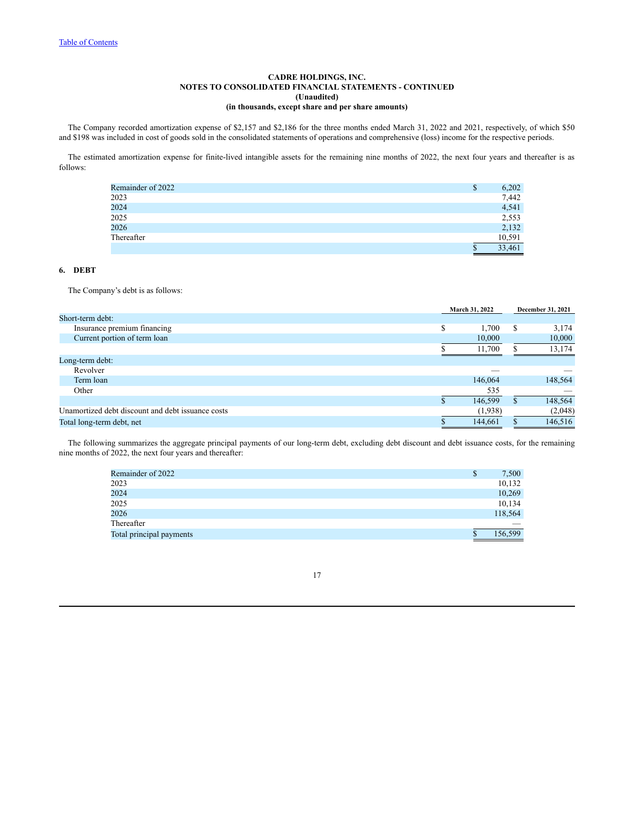The Company recorded amortization expense of \$2,157 and \$2,186 for the three months ended March 31, 2022 and 2021, respectively, of which \$50 and \$198 was included in cost of goods sold in the consolidated statements of operations and comprehensive (loss) income for the respective periods.

The estimated amortization expense for finite-lived intangible assets for the remaining nine months of 2022, the next four years and thereafter is as follows:

| Remainder of 2022 | \$ | 6,202  |
|-------------------|----|--------|
| 2023              |    | 7,442  |
| 2024              |    | 4,541  |
| 2025              |    | 2,553  |
| 2026              |    | 2,132  |
| Thereafter        |    | 10,591 |
|                   | Φ  | 33,461 |

## **6. DEBT**

The Company's debt is as follows:

|                                                   | March 31, 2022 |         | December 31, 2021 |         |
|---------------------------------------------------|----------------|---------|-------------------|---------|
| Short-term debt:                                  |                |         |                   |         |
| Insurance premium financing                       | S              | 1,700   | S                 | 3,174   |
| Current portion of term loan                      |                | 10.000  |                   | 10,000  |
|                                                   |                | 11.700  |                   | 13,174  |
| Long-term debt:                                   |                |         |                   |         |
| Revolver                                          |                |         |                   |         |
| Term loan                                         |                | 146,064 |                   | 148,564 |
| Other                                             |                | 535     |                   |         |
|                                                   |                | 146,599 |                   | 148,564 |
| Unamortized debt discount and debt issuance costs |                | (1,938) |                   | (2,048) |
| Total long-term debt, net                         |                | 144,661 |                   | 146,516 |

The following summarizes the aggregate principal payments of our long-term debt, excluding debt discount and debt issuance costs, for the remaining nine months of 2022, the next four years and thereafter:

| \$<br>7,500 |
|-------------|
| 10,132      |
| 10,269      |
| 10,134      |
| 118,564     |
|             |
| 156,599     |
|             |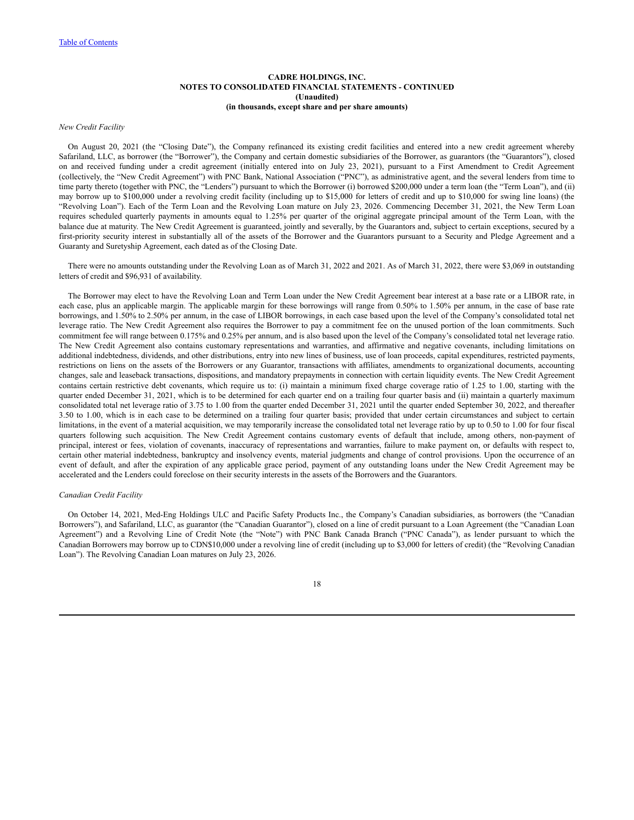#### *New Credit Facility*

On August 20, 2021 (the "Closing Date"), the Company refinanced its existing credit facilities and entered into a new credit agreement whereby Safariland, LLC, as borrower (the "Borrower"), the Company and certain domestic subsidiaries of the Borrower, as guarantors (the "Guarantors"), closed on and received funding under a credit agreement (initially entered into on July 23, 2021), pursuant to a First Amendment to Credit Agreement (collectively, the "New Credit Agreement") with PNC Bank, National Association ("PNC"), as administrative agent, and the several lenders from time to time party thereto (together with PNC, the "Lenders") pursuant to which the Borrower (i) borrowed \$200,000 under a term loan (the "Term Loan"), and (ii) may borrow up to \$100,000 under a revolving credit facility (including up to \$15,000 for letters of credit and up to \$10,000 for swing line loans) (the "Revolving Loan"). Each of the Term Loan and the Revolving Loan mature on July 23, 2026. Commencing December 31, 2021, the New Term Loan requires scheduled quarterly payments in amounts equal to 1.25% per quarter of the original aggregate principal amount of the Term Loan, with the balance due at maturity. The New Credit Agreement is guaranteed, jointly and severally, by the Guarantors and, subject to certain exceptions, secured by a first-priority security interest in substantially all of the assets of the Borrower and the Guarantors pursuant to a Security and Pledge Agreement and a Guaranty and Suretyship Agreement, each dated as of the Closing Date.

There were no amounts outstanding under the Revolving Loan as of March 31, 2022 and 2021. As of March 31, 2022, there were \$3,069 in outstanding letters of credit and \$96,931 of availability.

The Borrower may elect to have the Revolving Loan and Term Loan under the New Credit Agreement bear interest at a base rate or a LIBOR rate, in each case, plus an applicable margin. The applicable margin for these borrowings will range from 0.50% to 1.50% per annum, in the case of base rate borrowings, and 1.50% to 2.50% per annum, in the case of LIBOR borrowings, in each case based upon the level of the Company's consolidated total net leverage ratio. The New Credit Agreement also requires the Borrower to pay a commitment fee on the unused portion of the loan commitments. Such commitment fee will range between 0.175% and 0.25% per annum, and is also based upon the level of the Company's consolidated total net leverage ratio. The New Credit Agreement also contains customary representations and warranties, and affirmative and negative covenants, including limitations on additional indebtedness, dividends, and other distributions, entry into new lines of business, use of loan proceeds, capital expenditures, restricted payments, restrictions on liens on the assets of the Borrowers or any Guarantor, transactions with affiliates, amendments to organizational documents, accounting changes, sale and leaseback transactions, dispositions, and mandatory prepayments in connection with certain liquidity events. The New Credit Agreement contains certain restrictive debt covenants, which require us to: (i) maintain a minimum fixed charge coverage ratio of 1.25 to 1.00, starting with the quarter ended December 31, 2021, which is to be determined for each quarter end on a trailing four quarter basis and (ii) maintain a quarterly maximum consolidated total net leverage ratio of 3.75 to 1.00 from the quarter ended December 31, 2021 until the quarter ended September 30, 2022, and thereafter 3.50 to 1.00, which is in each case to be determined on a trailing four quarter basis; provided that under certain circumstances and subject to certain limitations, in the event of a material acquisition, we may temporarily increase the consolidated total net leverage ratio by up to 0.50 to 1.00 for four fiscal quarters following such acquisition. The New Credit Agreement contains customary events of default that include, among others, non-payment of principal, interest or fees, violation of covenants, inaccuracy of representations and warranties, failure to make payment on, or defaults with respect to, certain other material indebtedness, bankruptcy and insolvency events, material judgments and change of control provisions. Upon the occurrence of an event of default, and after the expiration of any applicable grace period, payment of any outstanding loans under the New Credit Agreement may be accelerated and the Lenders could foreclose on their security interests in the assets of the Borrowers and the Guarantors.

#### *Canadian Credit Facility*

On October 14, 2021, Med-Eng Holdings ULC and Pacific Safety Products Inc., the Company's Canadian subsidiaries, as borrowers (the "Canadian Borrowers"), and Safariland, LLC, as guarantor (the "Canadian Guarantor"), closed on a line of credit pursuant to a Loan Agreement (the "Canadian Loan Agreement") and a Revolving Line of Credit Note (the "Note") with PNC Bank Canada Branch ("PNC Canada"), as lender pursuant to which the Canadian Borrowers may borrow up to CDN\$10,000 under a revolving line of credit (including up to \$3,000 for letters of credit) (the "Revolving Canadian Loan"). The Revolving Canadian Loan matures on July 23, 2026.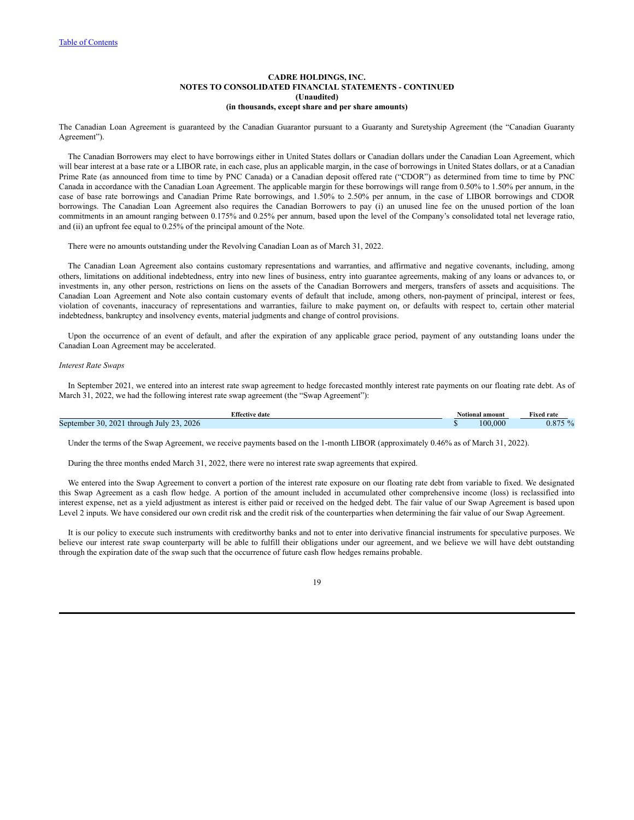The Canadian Loan Agreement is guaranteed by the Canadian Guarantor pursuant to a Guaranty and Suretyship Agreement (the "Canadian Guaranty Agreement").

The Canadian Borrowers may elect to have borrowings either in United States dollars or Canadian dollars under the Canadian Loan Agreement, which will bear interest at a base rate or a LIBOR rate, in each case, plus an applicable margin, in the case of borrowings in United States dollars, or at a Canadian Prime Rate (as announced from time to time by PNC Canada) or a Canadian deposit offered rate ("CDOR") as determined from time to time by PNC Canada in accordance with the Canadian Loan Agreement. The applicable margin for these borrowings will range from 0.50% to 1.50% per annum, in the case of base rate borrowings and Canadian Prime Rate borrowings, and 1.50% to 2.50% per annum, in the case of LIBOR borrowings and CDOR borrowings. The Canadian Loan Agreement also requires the Canadian Borrowers to pay (i) an unused line fee on the unused portion of the loan commitments in an amount ranging between 0.175% and 0.25% per annum, based upon the level of the Company's consolidated total net leverage ratio, and (ii) an upfront fee equal to 0.25% of the principal amount of the Note.

There were no amounts outstanding under the Revolving Canadian Loan as of March 31, 2022.

The Canadian Loan Agreement also contains customary representations and warranties, and affirmative and negative covenants, including, among others, limitations on additional indebtedness, entry into new lines of business, entry into guarantee agreements, making of any loans or advances to, or investments in, any other person, restrictions on liens on the assets of the Canadian Borrowers and mergers, transfers of assets and acquisitions. The Canadian Loan Agreement and Note also contain customary events of default that include, among others, non-payment of principal, interest or fees, violation of covenants, inaccuracy of representations and warranties, failure to make payment on, or defaults with respect to, certain other material indebtedness, bankruptcy and insolvency events, material judgments and change of control provisions.

Upon the occurrence of an event of default, and after the expiration of any applicable grace period, payment of any outstanding loans under the Canadian Loan Agreement may be accelerated.

#### *Interest Rate Swaps*

In September 2021, we entered into an interest rate swap agreement to hedge forecasted monthly interest rate payments on our floating rate debt. As of March 31, 2022, we had the following interest rate swap agreement (the "Swap Agreement"):

| <b>Effective date</b>                           | Notional amount | <b>Fixed rate</b> |
|-------------------------------------------------|-----------------|-------------------|
| . 2026<br>September 30.<br>2021<br>through July | 00.000          | 075<br>0.o / J    |

Under the terms of the Swap Agreement, we receive payments based on the 1-month LIBOR (approximately 0.46% as of March 31, 2022).

During the three months ended March 31, 2022, there were no interest rate swap agreements that expired.

We entered into the Swap Agreement to convert a portion of the interest rate exposure on our floating rate debt from variable to fixed. We designated this Swap Agreement as a cash flow hedge. A portion of the amount included in accumulated other comprehensive income (loss) is reclassified into interest expense, net as a yield adjustment as interest is either paid or received on the hedged debt. The fair value of our Swap Agreement is based upon Level 2 inputs. We have considered our own credit risk and the credit risk of the counterparties when determining the fair value of our Swap Agreement.

It is our policy to execute such instruments with creditworthy banks and not to enter into derivative financial instruments for speculative purposes. We believe our interest rate swap counterparty will be able to fulfill their obligations under our agreement, and we believe we will have debt outstanding through the expiration date of the swap such that the occurrence of future cash flow hedges remains probable.

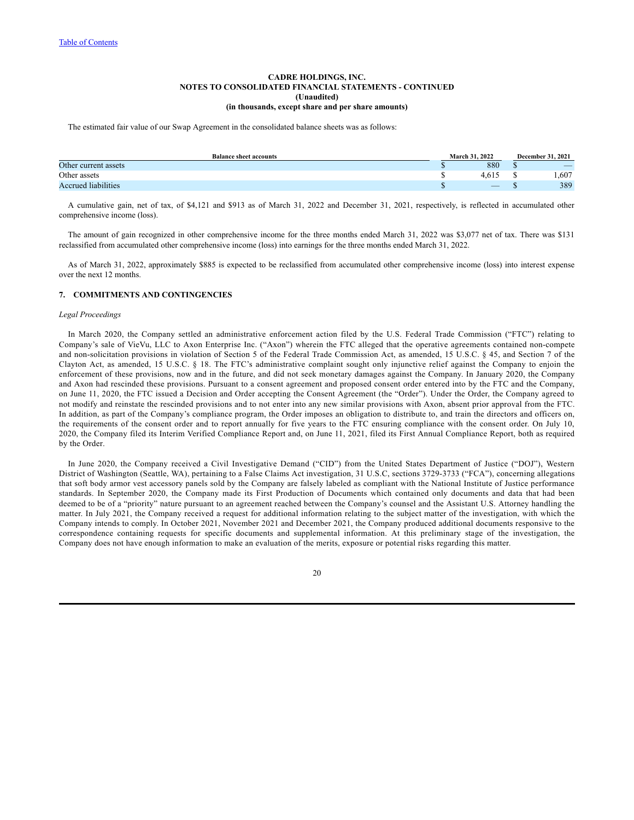The estimated fair value of our Swap Agreement in the consolidated balance sheets was as follows:

| <b>Balance sheet accounts</b> |  | <b>March 31, 2022</b> | <b>December 31, 2021</b> |
|-------------------------------|--|-----------------------|--------------------------|
| Other current assets          |  | 880                   |                          |
| Other assets                  |  | 4.615                 | .607                     |
| <b>Accrued liabilities</b>    |  |                       | 389                      |

A cumulative gain, net of tax, of \$4,121 and \$913 as of March 31, 2022 and December 31, 2021, respectively, is reflected in accumulated other comprehensive income (loss).

The amount of gain recognized in other comprehensive income for the three months ended March 31, 2022 was \$3,077 net of tax. There was \$131 reclassified from accumulated other comprehensive income (loss) into earnings for the three months ended March 31, 2022.

As of March 31, 2022, approximately \$885 is expected to be reclassified from accumulated other comprehensive income (loss) into interest expense over the next 12 months.

#### **7. COMMITMENTS AND CONTINGENCIES**

## *Legal Proceedings*

In March 2020, the Company settled an administrative enforcement action filed by the U.S. Federal Trade Commission ("FTC") relating to Company's sale of VieVu, LLC to Axon Enterprise Inc. ("Axon") wherein the FTC alleged that the operative agreements contained non-compete and non-solicitation provisions in violation of Section 5 of the Federal Trade Commission Act, as amended, 15 U.S.C. § 45, and Section 7 of the Clayton Act, as amended, 15 U.S.C. § 18. The FTC's administrative complaint sought only injunctive relief against the Company to enjoin the enforcement of these provisions, now and in the future, and did not seek monetary damages against the Company. In January 2020, the Company and Axon had rescinded these provisions. Pursuant to a consent agreement and proposed consent order entered into by the FTC and the Company, on June 11, 2020, the FTC issued a Decision and Order accepting the Consent Agreement (the "Order"). Under the Order, the Company agreed to not modify and reinstate the rescinded provisions and to not enter into any new similar provisions with Axon, absent prior approval from the FTC. In addition, as part of the Company's compliance program, the Order imposes an obligation to distribute to, and train the directors and officers on, the requirements of the consent order and to report annually for five years to the FTC ensuring compliance with the consent order. On July 10, 2020, the Company filed its Interim Verified Compliance Report and, on June 11, 2021, filed its First Annual Compliance Report, both as required by the Order.

In June 2020, the Company received a Civil Investigative Demand ("CID") from the United States Department of Justice ("DOJ"), Western District of Washington (Seattle, WA), pertaining to a False Claims Act investigation, 31 U.S.C, sections 3729-3733 ("FCA"), concerning allegations that soft body armor vest accessory panels sold by the Company are falsely labeled as compliant with the National Institute of Justice performance standards. In September 2020, the Company made its First Production of Documents which contained only documents and data that had been deemed to be of a "priority" nature pursuant to an agreement reached between the Company's counsel and the Assistant U.S. Attorney handling the matter. In July 2021, the Company received a request for additional information relating to the subject matter of the investigation, with which the Company intends to comply. In October 2021, November 2021 and December 2021, the Company produced additional documents responsive to the correspondence containing requests for specific documents and supplemental information. At this preliminary stage of the investigation, the Company does not have enough information to make an evaluation of the merits, exposure or potential risks regarding this matter.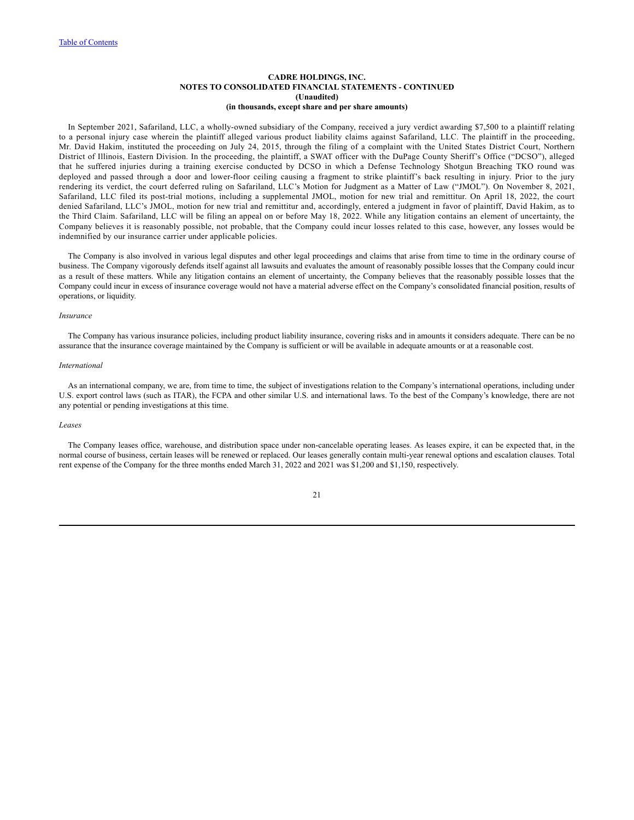In September 2021, Safariland, LLC, a wholly-owned subsidiary of the Company, received a jury verdict awarding \$7,500 to a plaintiff relating to a personal injury case wherein the plaintiff alleged various product liability claims against Safariland, LLC. The plaintiff in the proceeding, Mr. David Hakim, instituted the proceeding on July 24, 2015, through the filing of a complaint with the United States District Court, Northern District of Illinois, Eastern Division. In the proceeding, the plaintiff, a SWAT officer with the DuPage County Sheriff's Office ("DCSO"), alleged that he suffered injuries during a training exercise conducted by DCSO in which a Defense Technology Shotgun Breaching TKO round was deployed and passed through a door and lower-floor ceiling causing a fragment to strike plaintiff's back resulting in injury. Prior to the jury rendering its verdict, the court deferred ruling on Safariland, LLC's Motion for Judgment as a Matter of Law ("JMOL"). On November 8, 2021, Safariland, LLC filed its post-trial motions, including a supplemental JMOL, motion for new trial and remittitur. On April 18, 2022, the court denied Safariland, LLC's JMOL, motion for new trial and remittitur and, accordingly, entered a judgment in favor of plaintiff, David Hakim, as to the Third Claim. Safariland, LLC will be filing an appeal on or before May 18, 2022. While any litigation contains an element of uncertainty, the Company believes it is reasonably possible, not probable, that the Company could incur losses related to this case, however, any losses would be indemnified by our insurance carrier under applicable policies.

The Company is also involved in various legal disputes and other legal proceedings and claims that arise from time to time in the ordinary course of business. The Company vigorously defends itself against all lawsuits and evaluates the amount of reasonably possible losses that the Company could incur as a result of these matters. While any litigation contains an element of uncertainty, the Company believes that the reasonably possible losses that the Company could incur in excess of insurance coverage would not have a material adverse effect on the Company's consolidated financial position, results of operations, or liquidity.

#### *Insurance*

The Company has various insurance policies, including product liability insurance, covering risks and in amounts it considers adequate. There can be no assurance that the insurance coverage maintained by the Company is sufficient or will be available in adequate amounts or at a reasonable cost.

#### *International*

As an international company, we are, from time to time, the subject of investigations relation to the Company's international operations, including under U.S. export control laws (such as ITAR), the FCPA and other similar U.S. and international laws. To the best of the Company's knowledge, there are not any potential or pending investigations at this time.

#### *Leases*

The Company leases office, warehouse, and distribution space under non-cancelable operating leases. As leases expire, it can be expected that, in the normal course of business, certain leases will be renewed or replaced. Our leases generally contain multi-year renewal options and escalation clauses. Total rent expense of the Company for the three months ended March 31, 2022 and 2021 was \$1,200 and \$1,150, respectively.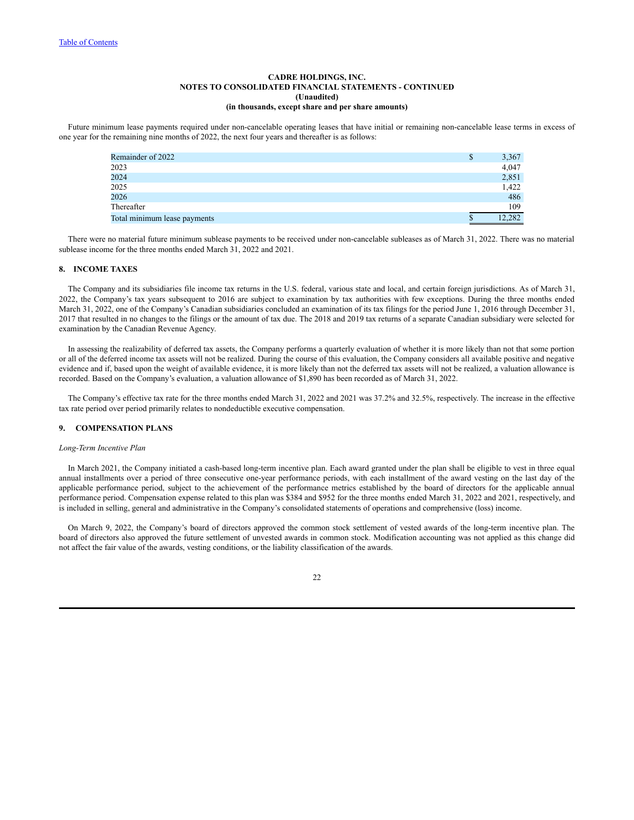Future minimum lease payments required under non-cancelable operating leases that have initial or remaining non-cancelable lease terms in excess of one year for the remaining nine months of 2022, the next four years and thereafter is as follows:

| Remainder of 2022            | \$<br>3,367 |
|------------------------------|-------------|
| 2023                         | 4,047       |
| 2024                         | 2,851       |
| 2025                         | 1.422       |
| 2026                         | 486         |
| Thereafter                   | 109         |
| Total minimum lease payments | 12.282      |

There were no material future minimum sublease payments to be received under non-cancelable subleases as of March 31, 2022. There was no material sublease income for the three months ended March 31, 2022 and 2021.

# **8. INCOME TAXES**

The Company and its subsidiaries file income tax returns in the U.S. federal, various state and local, and certain foreign jurisdictions. As of March 31, 2022, the Company's tax years subsequent to 2016 are subject to examination by tax authorities with few exceptions. During the three months ended March 31, 2022, one of the Company's Canadian subsidiaries concluded an examination of its tax filings for the period June 1, 2016 through December 31, 2017 that resulted in no changes to the filings or the amount of tax due. The 2018 and 2019 tax returns of a separate Canadian subsidiary were selected for examination by the Canadian Revenue Agency.

In assessing the realizability of deferred tax assets, the Company performs a quarterly evaluation of whether it is more likely than not that some portion or all of the deferred income tax assets will not be realized. During the course of this evaluation, the Company considers all available positive and negative evidence and if, based upon the weight of available evidence, it is more likely than not the deferred tax assets will not be realized, a valuation allowance is recorded. Based on the Company's evaluation, a valuation allowance of \$1,890 has been recorded as of March 31, 2022.

The Company's effective tax rate for the three months ended March 31, 2022 and 2021 was 37.2% and 32.5%, respectively. The increase in the effective tax rate period over period primarily relates to nondeductible executive compensation.

#### **9. COMPENSATION PLANS**

## *Long-Term Incentive Plan*

In March 2021, the Company initiated a cash-based long-term incentive plan. Each award granted under the plan shall be eligible to vest in three equal annual installments over a period of three consecutive one-year performance periods, with each installment of the award vesting on the last day of the applicable performance period, subject to the achievement of the performance metrics established by the board of directors for the applicable annual performance period. Compensation expense related to this plan was \$384 and \$952 for the three months ended March 31, 2022 and 2021, respectively, and is included in selling, general and administrative in the Company's consolidated statements of operations and comprehensive (loss) income.

On March 9, 2022, the Company's board of directors approved the common stock settlement of vested awards of the long-term incentive plan. The board of directors also approved the future settlement of unvested awards in common stock. Modification accounting was not applied as this change did not affect the fair value of the awards, vesting conditions, or the liability classification of the awards.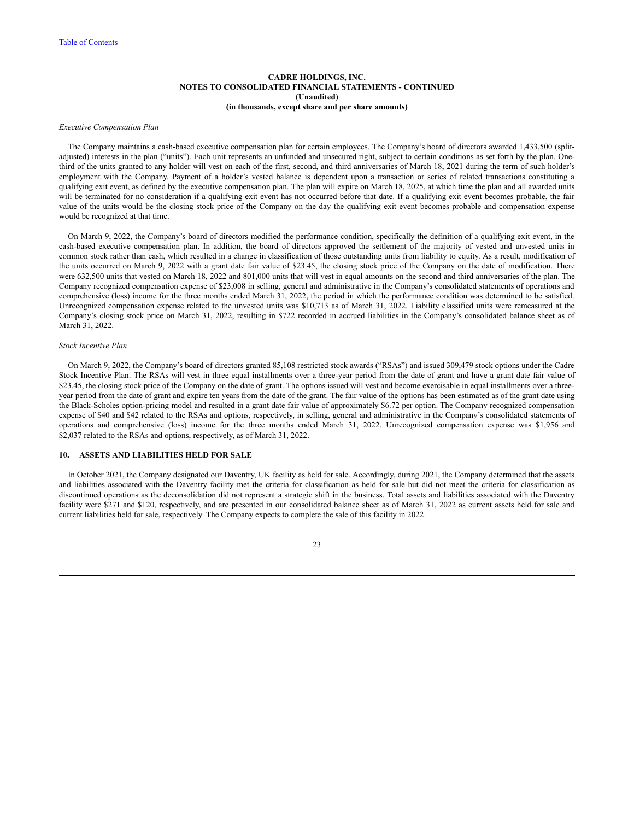#### *Executive Compensation Plan*

The Company maintains a cash-based executive compensation plan for certain employees. The Company's board of directors awarded 1,433,500 (splitadjusted) interests in the plan ("units"). Each unit represents an unfunded and unsecured right, subject to certain conditions as set forth by the plan. Onethird of the units granted to any holder will vest on each of the first, second, and third anniversaries of March 18, 2021 during the term of such holder's employment with the Company. Payment of a holder's vested balance is dependent upon a transaction or series of related transactions constituting a qualifying exit event, as defined by the executive compensation plan. The plan will expire on March 18, 2025, at which time the plan and all awarded units will be terminated for no consideration if a qualifying exit event has not occurred before that date. If a qualifying exit event becomes probable, the fair value of the units would be the closing stock price of the Company on the day the qualifying exit event becomes probable and compensation expense would be recognized at that time.

On March 9, 2022, the Company's board of directors modified the performance condition, specifically the definition of a qualifying exit event, in the cash-based executive compensation plan. In addition, the board of directors approved the settlement of the majority of vested and unvested units in common stock rather than cash, which resulted in a change in classification of those outstanding units from liability to equity. As a result, modification of the units occurred on March 9, 2022 with a grant date fair value of \$23.45, the closing stock price of the Company on the date of modification. There were 632,500 units that vested on March 18, 2022 and 801,000 units that will vest in equal amounts on the second and third anniversaries of the plan. The Company recognized compensation expense of \$23,008 in selling, general and administrative in the Company's consolidated statements of operations and comprehensive (loss) income for the three months ended March 31, 2022, the period in which the performance condition was determined to be satisfied. Unrecognized compensation expense related to the unvested units was \$10,713 as of March 31, 2022. Liability classified units were remeasured at the Company's closing stock price on March 31, 2022, resulting in \$722 recorded in accrued liabilities in the Company's consolidated balance sheet as of March 31, 2022.

## *Stock Incentive Plan*

On March 9, 2022, the Company's board of directors granted 85,108 restricted stock awards ("RSAs") and issued 309,479 stock options under the Cadre Stock Incentive Plan. The RSAs will vest in three equal installments over a three-year period from the date of grant and have a grant date fair value of \$23.45, the closing stock price of the Company on the date of grant. The options issued will vest and become exercisable in equal installments over a threeyear period from the date of grant and expire ten years from the date of the grant. The fair value of the options has been estimated as of the grant date using the Black-Scholes option-pricing model and resulted in a grant date fair value of approximately \$6.72 per option. The Company recognized compensation expense of \$40 and \$42 related to the RSAs and options, respectively, in selling, general and administrative in the Company's consolidated statements of operations and comprehensive (loss) income for the three months ended March 31, 2022. Unrecognized compensation expense was \$1,956 and \$2,037 related to the RSAs and options, respectively, as of March 31, 2022.

## **10. ASSETS AND LIABILITIES HELD FOR SALE**

In October 2021, the Company designated our Daventry, UK facility as held for sale. Accordingly, during 2021, the Company determined that the assets and liabilities associated with the Daventry facility met the criteria for classification as held for sale but did not meet the criteria for classification as discontinued operations as the deconsolidation did not represent a strategic shift in the business. Total assets and liabilities associated with the Daventry facility were \$271 and \$120, respectively, and are presented in our consolidated balance sheet as of March 31, 2022 as current assets held for sale and current liabilities held for sale, respectively. The Company expects to complete the sale of this facility in 2022.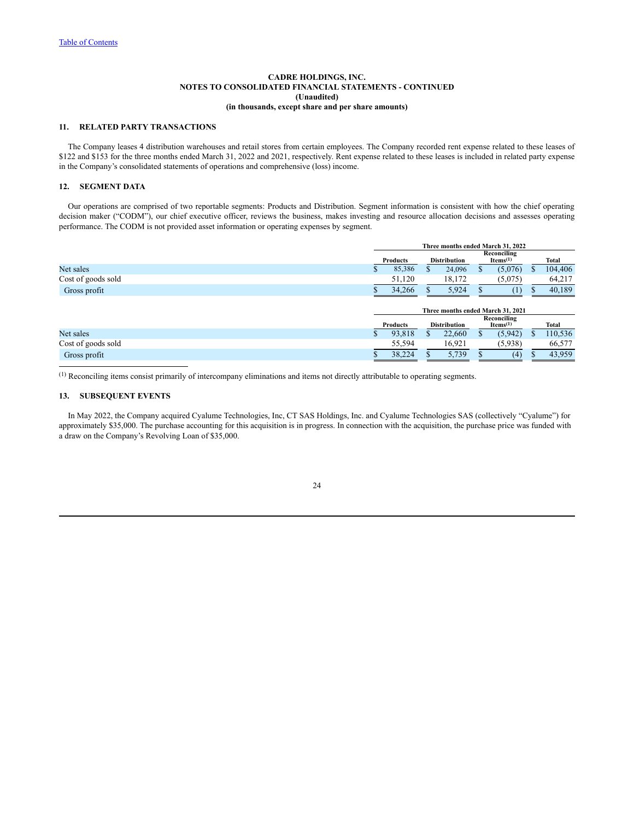## **11. RELATED PARTY TRANSACTIONS**

The Company leases 4 distribution warehouses and retail stores from certain employees. The Company recorded rent expense related to these leases of \$122 and \$153 for the three months ended March 31, 2022 and 2021, respectively. Rent expense related to these leases is included in related party expense in the Company's consolidated statements of operations and comprehensive (loss) income.

## **12. SEGMENT DATA**

Our operations are comprised of two reportable segments: Products and Distribution. Segment information is consistent with how the chief operating decision maker ("CODM"), our chief executive officer, reviews the business, makes investing and resource allocation decisions and assesses operating performance. The CODM is not provided asset information or operating expenses by segment.

|                    | Three months ended March 31, 2022      |   |                     |  |                                     |    |         |
|--------------------|----------------------------------------|---|---------------------|--|-------------------------------------|----|---------|
|                    | <b>Distribution</b><br><b>Products</b> |   |                     |  | Reconciling<br>Items <sup>(1)</sup> |    | Total   |
| Net sales          | 85,386                                 |   | 24,096              |  | (5,076)                             |    | 104,406 |
| Cost of goods sold | 51,120                                 |   | 18,172              |  | (5,075)                             |    | 64,217  |
| Gross profit       | 34,266                                 |   | 5,924               |  | $\left(1\right)$                    |    | 40,189  |
|                    |                                        |   |                     |  | Three months ended March 31, 2021   |    |         |
|                    | <b>Products</b>                        |   | <b>Distribution</b> |  | Reconciling<br>$Items^{(1)}$        |    | Total   |
| Net sales          | 93,818                                 | S | 22,660              |  | (5,942)                             | S. | 110,536 |
| Cost of goods sold | 55,594                                 |   | 16,921              |  | (5,938)                             |    | 66,577  |
| Gross profit       | 38,224                                 |   | 5,739               |  | (4)                                 |    | 43,959  |

(1) Reconciling items consist primarily of intercompany eliminations and items not directly attributable to operating segments.

## **13. SUBSEQUENT EVENTS**

In May 2022, the Company acquired Cyalume Technologies, Inc, CT SAS Holdings, Inc. and Cyalume Technologies SAS (collectively "Cyalume") for approximately \$35,000. The purchase accounting for this acquisition is in progress. In connection with the acquisition, the purchase price was funded with a draw on the Company's Revolving Loan of \$35,000.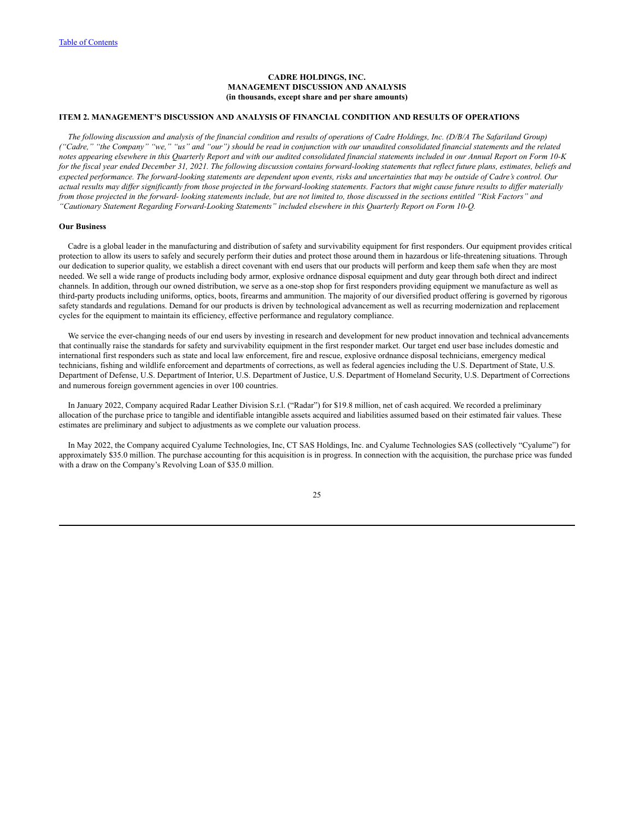#### <span id="page-24-0"></span>**ITEM 2. MANAGEMENT'S DISCUSSION AND ANALYSIS OF FINANCIAL CONDITION AND RESULTS OF OPERATIONS**

The following discussion and analysis of the financial condition and results of operations of Cadre Holdings, Inc. (D/B/A The Safariland Group) ("Cadre," "the Company" "we," "us" and "our") should be read in conjunction with our unaudited consolidated financial statements and the related notes appearing elsewhere in this Ouarterly Report and with our audited consolidated financial statements included in our Annual Report on Form 10-K for the fiscal year ended December 31, 2021. The following discussion contains forward-looking statements that reflect future plans, estimates, beliefs and expected performance. The forward-looking statements are dependent upon events, risks and uncertainties that may be outside of Cadre's control. Our actual results may differ significantly from those projected in the forward-looking statements. Factors that might cause future results to differ materially from those projected in the forward- looking statements include, but are not limited to, those discussed in the sections entitled "Risk Factors" and *"Cautionary Statement Regarding Forward-Looking Statements" included elsewhere in this Quarterly Report on Form 10-Q.*

#### **Our Business**

Cadre is a global leader in the manufacturing and distribution of safety and survivability equipment for first responders. Our equipment provides critical protection to allow its users to safely and securely perform their duties and protect those around them in hazardous or life-threatening situations. Through our dedication to superior quality, we establish a direct covenant with end users that our products will perform and keep them safe when they are most needed. We sell a wide range of products including body armor, explosive ordnance disposal equipment and duty gear through both direct and indirect channels. In addition, through our owned distribution, we serve as a one-stop shop for first responders providing equipment we manufacture as well as third-party products including uniforms, optics, boots, firearms and ammunition. The majority of our diversified product offering is governed by rigorous safety standards and regulations. Demand for our products is driven by technological advancement as well as recurring modernization and replacement cycles for the equipment to maintain its efficiency, effective performance and regulatory compliance.

We service the ever-changing needs of our end users by investing in research and development for new product innovation and technical advancements that continually raise the standards for safety and survivability equipment in the first responder market. Our target end user base includes domestic and international first responders such as state and local law enforcement, fire and rescue, explosive ordnance disposal technicians, emergency medical technicians, fishing and wildlife enforcement and departments of corrections, as well as federal agencies including the U.S. Department of State, U.S. Department of Defense, U.S. Department of Interior, U.S. Department of Justice, U.S. Department of Homeland Security, U.S. Department of Corrections and numerous foreign government agencies in over 100 countries.

In January 2022, Company acquired Radar Leather Division S.r.l. ("Radar") for \$19.8 million, net of cash acquired. We recorded a preliminary allocation of the purchase price to tangible and identifiable intangible assets acquired and liabilities assumed based on their estimated fair values. These estimates are preliminary and subject to adjustments as we complete our valuation process.

In May 2022, the Company acquired Cyalume Technologies, Inc, CT SAS Holdings, Inc. and Cyalume Technologies SAS (collectively "Cyalume") for approximately \$35.0 million. The purchase accounting for this acquisition is in progress. In connection with the acquisition, the purchase price was funded with a draw on the Company's Revolving Loan of \$35.0 million.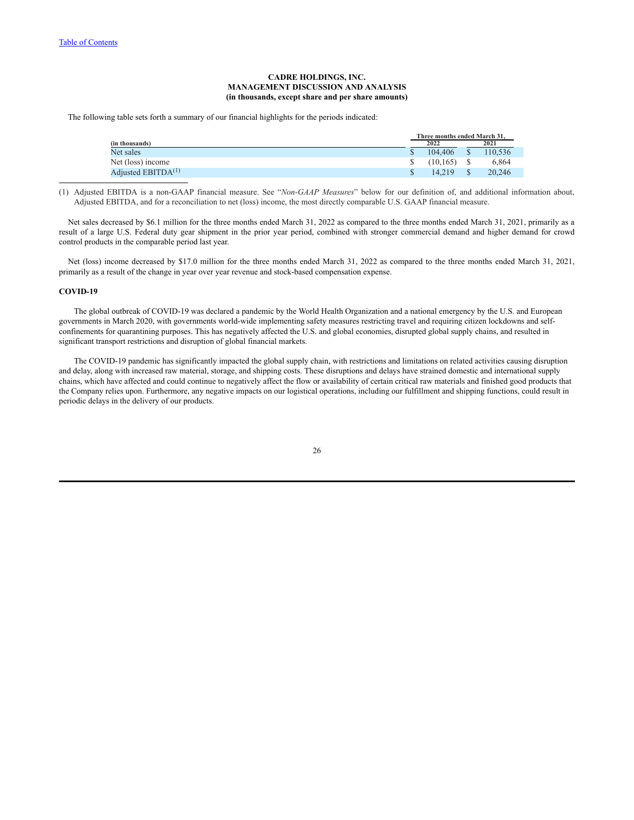The following table sets forth a summary of our financial highlights for the periods indicated:

|                       | Three months ended March 31. |          |  |         |  |
|-----------------------|------------------------------|----------|--|---------|--|
| (in thousands)        | 2022                         |          |  | 2021    |  |
| Net sales             |                              | 104.406  |  | 110.536 |  |
| Net (loss) income     |                              | (10.165) |  | 6.864   |  |
| Adjusted EBITDA $(1)$ |                              | 14.219   |  | 20.246  |  |

(1) Adjusted EBITDA is a non-GAAP financial measure. See "*Non-GAAP Measures*" below for our definition of, and additional information about, Adjusted EBITDA, and for a reconciliation to net (loss) income, the most directly comparable U.S. GAAP financial measure.

Net sales decreased by \$6.1 million for the three months ended March 31, 2022 as compared to the three months ended March 31, 2021, primarily as a result of a large U.S. Federal duty gear shipment in the prior year period, combined with stronger commercial demand and higher demand for crowd control products in the comparable period last year.

Net (loss) income decreased by \$17.0 million for the three months ended March 31, 2022 as compared to the three months ended March 31, 2021, primarily as a result of the change in year over year revenue and stock-based compensation expense.

## **COVID-19**

The global outbreak of COVID-19 was declared a pandemic by the World Health Organization and a national emergency by the U.S. and European governments in March 2020, with governments world-wide implementing safety measures restricting travel and requiring citizen lockdowns and selfconfinements for quarantining purposes. This has negatively affected the U.S. and global economies, disrupted global supply chains, and resulted in significant transport restrictions and disruption of global financial markets.

The COVID-19 pandemic has significantly impacted the global supply chain, with restrictions and limitations on related activities causing disruption and delay, along with increased raw material, storage, and shipping costs. These disruptions and delays have strained domestic and international supply chains, which have affected and could continue to negatively affect the flow or availability of certain critical raw materials and finished good products that the Company relies upon. Furthermore, any negative impacts on our logistical operations, including our fulfillment and shipping functions, could result in periodic delays in the delivery of our products.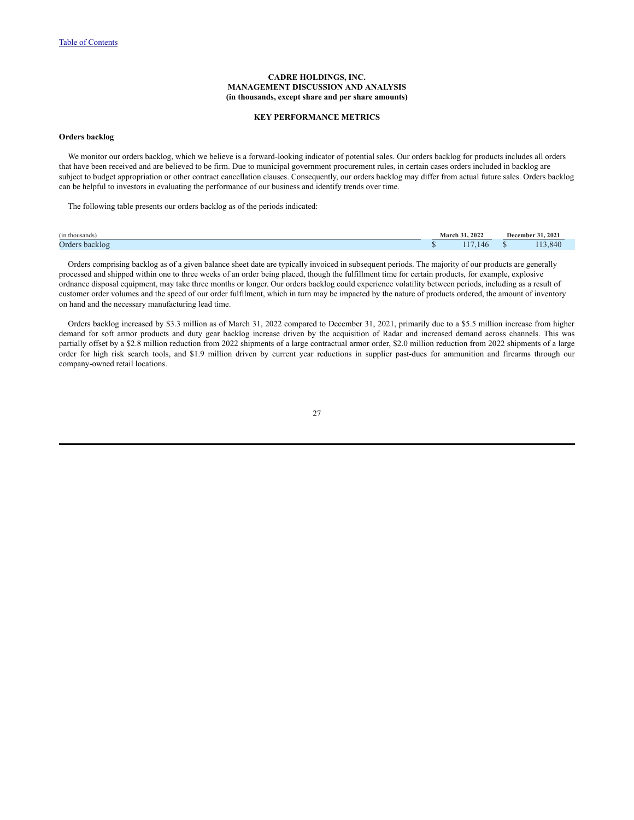#### **KEY PERFORMANCE METRICS**

#### **Orders backlog**

We monitor our orders backlog, which we believe is a forward-looking indicator of potential sales. Our orders backlog for products includes all orders that have been received and are believed to be firm. Due to municipal government procurement rules, in certain cases orders included in backlog are subject to budget appropriation or other contract cancellation clauses. Consequently, our orders backlog may differ from actual future sales. Orders backlog can be helpful to investors in evaluating the performance of our business and identify trends over time.

The following table presents our orders backlog as of the periods indicated:

| (in thousands)    | <b>March 31, 2022</b> | 31, 2021<br>December : |      |  |  |
|-------------------|-----------------------|------------------------|------|--|--|
| Orders<br>backlog | t 46                  |                        | .840 |  |  |

Orders comprising backlog as of a given balance sheet date are typically invoiced in subsequent periods. The majority of our products are generally processed and shipped within one to three weeks of an order being placed, though the fulfillment time for certain products, for example, explosive ordnance disposal equipment, may take three months or longer. Our orders backlog could experience volatility between periods, including as a result of customer order volumes and the speed of our order fulfilment, which in turn may be impacted by the nature of products ordered, the amount of inventory on hand and the necessary manufacturing lead time.

Orders backlog increased by \$3.3 million as of March 31, 2022 compared to December 31, 2021, primarily due to a \$5.5 million increase from higher demand for soft armor products and duty gear backlog increase driven by the acquisition of Radar and increased demand across channels. This was partially offset by a \$2.8 million reduction from 2022 shipments of a large contractual armor order, \$2.0 million reduction from 2022 shipments of a large order for high risk search tools, and \$1.9 million driven by current year reductions in supplier past-dues for ammunition and firearms through our company-owned retail locations.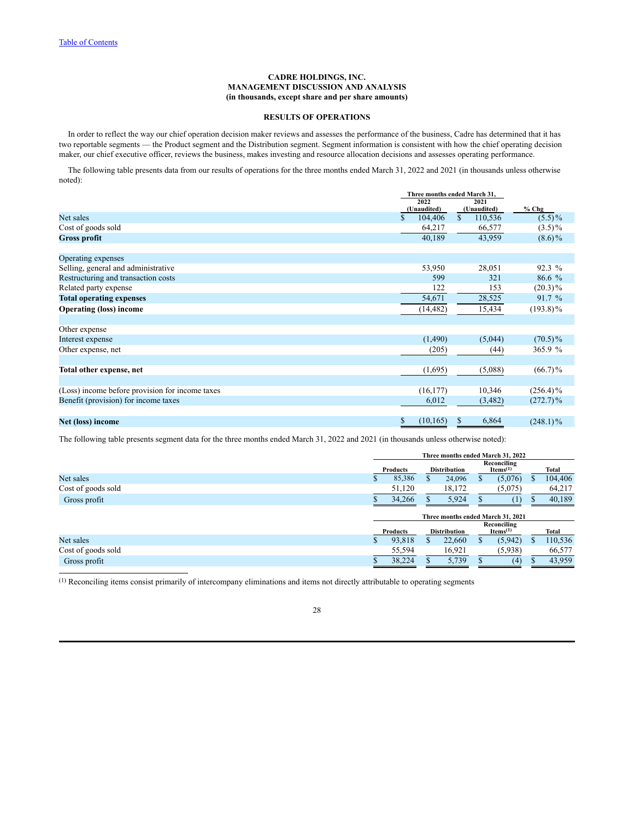#### **RESULTS OF OPERATIONS**

In order to reflect the way our chief operation decision maker reviews and assesses the performance of the business, Cadre has determined that it has two reportable segments — the Product segment and the Distribution segment. Segment information is consistent with how the chief operating decision maker, our chief executive officer, reviews the business, makes investing and resource allocation decisions and assesses operating performance.

The following table presents data from our results of operations for the three months ended March 31, 2022 and 2021 (in thousands unless otherwise noted):

|                                                 |                     | Three months ended March 31, |              |                     |             |  |
|-------------------------------------------------|---------------------|------------------------------|--------------|---------------------|-------------|--|
|                                                 | 2022<br>(Unaudited) |                              |              | 2021<br>(Unaudited) | $%$ Chg     |  |
| Net sales                                       | \$                  | 104,406                      | $\mathbb{S}$ | 110,536             | $(5.5)\%$   |  |
| Cost of goods sold                              |                     | 64,217                       |              | 66,577              | $(3.5)\%$   |  |
| <b>Gross profit</b>                             |                     | 40,189                       |              | 43,959              | $(8.6)\%$   |  |
|                                                 |                     |                              |              |                     |             |  |
| Operating expenses                              |                     |                              |              |                     |             |  |
| Selling, general and administrative             |                     | 53,950                       |              | 28,051              | 92.3 %      |  |
| Restructuring and transaction costs             |                     | 599                          |              | 321                 | 86.6 %      |  |
| Related party expense                           |                     | 122                          |              | 153                 | $(20.3)\%$  |  |
| <b>Total operating expenses</b>                 |                     | 54,671                       |              | 28,525              | 91.7%       |  |
| <b>Operating (loss) income</b>                  |                     | (14, 482)                    |              | 15,434              | $(193.8)\%$ |  |
|                                                 |                     |                              |              |                     |             |  |
| Other expense                                   |                     |                              |              |                     |             |  |
| Interest expense                                |                     | (1,490)                      |              | (5,044)             | $(70.5)\%$  |  |
| Other expense, net                              |                     | (205)                        |              | (44)                | 365.9 %     |  |
|                                                 |                     |                              |              |                     |             |  |
| Total other expense, net                        |                     | (1,695)                      |              | (5,088)             | $(66.7)\%$  |  |
| (Loss) income before provision for income taxes |                     | (16, 177)                    |              | 10,346              | $(256.4)\%$ |  |
| Benefit (provision) for income taxes            |                     | 6,012                        |              | (3,482)             | $(272.7)\%$ |  |
|                                                 |                     |                              |              |                     |             |  |
| Net (loss) income                               | \$                  | (10, 165)                    | \$           | 6,864               | $(248.1)\%$ |  |

The following table presents segment data for the three months ended March 31, 2022 and 2021 (in thousands unless otherwise noted):

|                    |  | Three months ended March 31, 2022 |  |                     |               |                                   |  |         |
|--------------------|--|-----------------------------------|--|---------------------|---------------|-----------------------------------|--|---------|
|                    |  | Reconciling                       |  |                     |               |                                   |  |         |
|                    |  | Products                          |  | <b>Distribution</b> | $Items^{(1)}$ |                                   |  | Total   |
| Net sales          |  | 85,386                            |  | 24,096              |               | (5,076)                           |  | 104,406 |
| Cost of goods sold |  | 51,120                            |  | 18,172              |               | (5,075)                           |  | 64,217  |
| Gross profit       |  | 34,266                            |  | 5.924               |               | Œ                                 |  | 40,189  |
|                    |  |                                   |  |                     |               | Three months ended March 31, 2021 |  |         |
|                    |  |                                   |  |                     |               |                                   |  |         |
|                    |  |                                   |  |                     | Reconciling   |                                   |  |         |
|                    |  | <b>Products</b>                   |  | <b>Distribution</b> |               | Items <sup>(1)</sup>              |  | Total   |
| Net sales          |  | 93,818                            |  | 22,660              |               | (5,942)                           |  | 110,536 |
| Cost of goods sold |  | 55,594                            |  | 16,921              |               | (5,938)                           |  | 66,577  |
| Gross profit       |  | 38,224                            |  | 5,739               |               | (4)                               |  | 43,959  |

(1) Reconciling items consist primarily of intercompany eliminations and items not directly attributable to operating segments

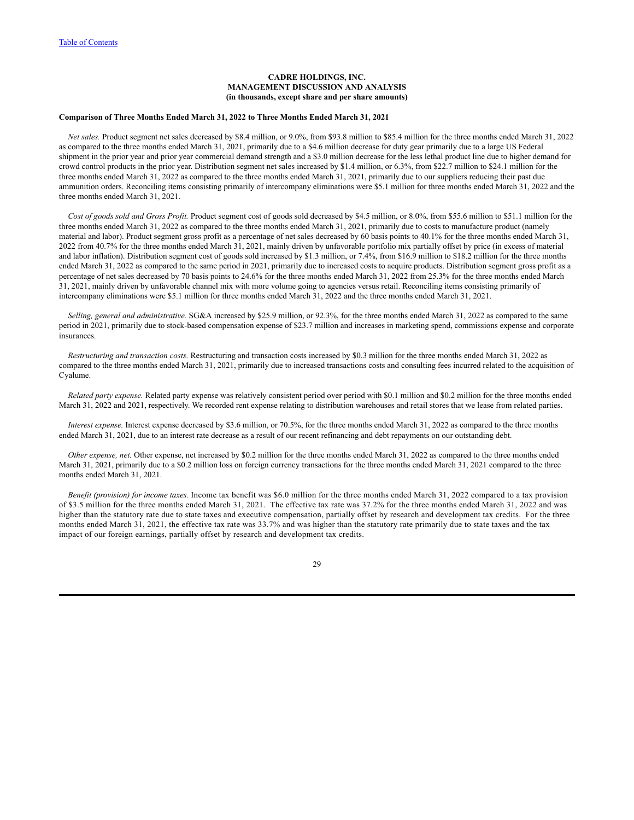#### **Comparison of Three Months Ended March 31, 2022 to Three Months Ended March 31, 2021**

*Net sales.* Product segment net sales decreased by \$8.4 million, or 9.0%, from \$93.8 million to \$85.4 million for the three months ended March 31, 2022 as compared to the three months ended March 31, 2021, primarily due to a \$4.6 million decrease for duty gear primarily due to a large US Federal shipment in the prior year and prior year commercial demand strength and a \$3.0 million decrease for the less lethal product line due to higher demand for crowd control products in the prior year. Distribution segment net sales increased by \$1.4 million, or 6.3%, from \$22.7 million to \$24.1 million for the three months ended March 31, 2022 as compared to the three months ended March 31, 2021, primarily due to our suppliers reducing their past due ammunition orders. Reconciling items consisting primarily of intercompany eliminations were \$5.1 million for three months ended March 31, 2022 and the three months ended March 31, 2021.

*Cost of goods sold and Gross Profit.* Product segment cost of goods sold decreased by \$4.5 million, or 8.0%, from \$55.6 million to \$51.1 million for the three months ended March 31, 2022 as compared to the three months ended March 31, 2021, primarily due to costs to manufacture product (namely material and labor). Product segment gross profit as a percentage of net sales decreased by 60 basis points to 40.1% for the three months ended March 31, 2022 from 40.7% for the three months ended March 31, 2021, mainly driven by unfavorable portfolio mix partially offset by price (in excess of material and labor inflation). Distribution segment cost of goods sold increased by \$1.3 million, or 7.4%, from \$16.9 million to \$18.2 million for the three months ended March 31, 2022 as compared to the same period in 2021, primarily due to increased costs to acquire products. Distribution segment gross profit as a percentage of net sales decreased by 70 basis points to 24.6% for the three months ended March 31, 2022 from 25.3% for the three months ended March 31, 2021, mainly driven by unfavorable channel mix with more volume going to agencies versus retail. Reconciling items consisting primarily of intercompany eliminations were \$5.1 million for three months ended March 31, 2022 and the three months ended March 31, 2021.

*Selling, general and administrative.* SG&A increased by \$25.9 million, or 92.3%, for the three months ended March 31, 2022 as compared to the same period in 2021, primarily due to stock-based compensation expense of \$23.7 million and increases in marketing spend, commissions expense and corporate insurances.

*Restructuring and transaction costs.* Restructuring and transaction costs increased by \$0.3 million for the three months ended March 31, 2022 as compared to the three months ended March 31, 2021, primarily due to increased transactions costs and consulting fees incurred related to the acquisition of Cyalume.

*Related party expense.* Related party expense was relatively consistent period over period with \$0.1 million and \$0.2 million for the three months ended March 31, 2022 and 2021, respectively. We recorded rent expense relating to distribution warehouses and retail stores that we lease from related parties.

*Interest expense.* Interest expense decreased by \$3.6 million, or 70.5%, for the three months ended March 31, 2022 as compared to the three months ended March 31, 2021, due to an interest rate decrease as a result of our recent refinancing and debt repayments on our outstanding debt.

*Other expense, net.* Other expense, net increased by \$0.2 million for the three months ended March 31, 2022 as compared to the three months ended March 31, 2021, primarily due to a \$0.2 million loss on foreign currency transactions for the three months ended March 31, 2021 compared to the three months ended March 31, 2021.

*Benefit (provision) for income taxes.* Income tax benefit was \$6.0 million for the three months ended March 31, 2022 compared to a tax provision of \$3.5 million for the three months ended March 31, 2021. The effective tax rate was 37.2% for the three months ended March 31, 2022 and was higher than the statutory rate due to state taxes and executive compensation, partially offset by research and development tax credits. For the three months ended March 31, 2021, the effective tax rate was 33.7% and was higher than the statutory rate primarily due to state taxes and the tax impact of our foreign earnings, partially offset by research and development tax credits.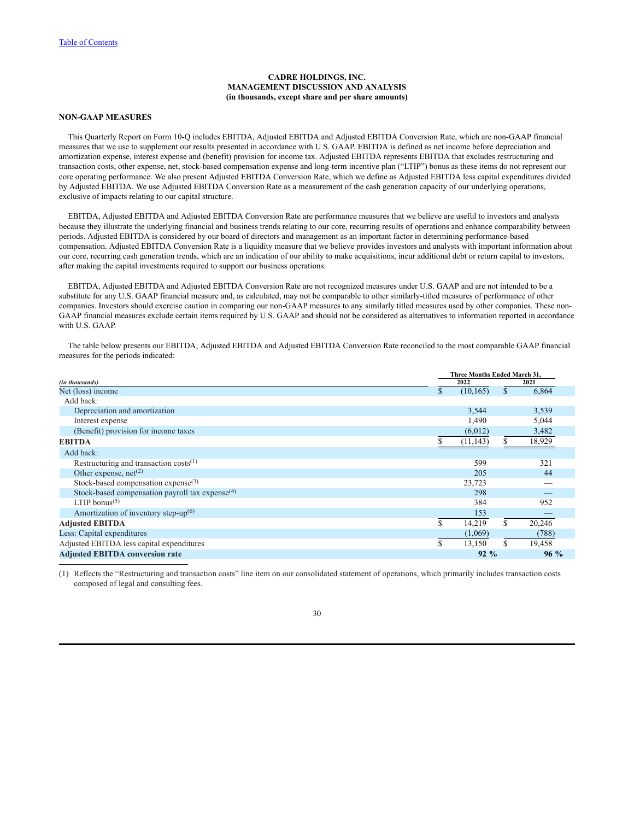#### **NON-GAAP MEASURES**

This Quarterly Report on Form 10-Q includes EBITDA, Adjusted EBITDA and Adjusted EBITDA Conversion Rate, which are non-GAAP financial measures that we use to supplement our results presented in accordance with U.S. GAAP. EBITDA is defined as net income before depreciation and amortization expense, interest expense and (benefit) provision for income tax. Adjusted EBITDA represents EBITDA that excludes restructuring and transaction costs, other expense, net, stock-based compensation expense and long-term incentive plan ("LTIP") bonus as these items do not represent our core operating performance. We also present Adjusted EBITDA Conversion Rate, which we define as Adjusted EBITDA less capital expenditures divided by Adjusted EBITDA. We use Adjusted EBITDA Conversion Rate as a measurement of the cash generation capacity of our underlying operations, exclusive of impacts relating to our capital structure.

EBITDA, Adjusted EBITDA and Adjusted EBITDA Conversion Rate are performance measures that we believe are useful to investors and analysts because they illustrate the underlying financial and business trends relating to our core, recurring results of operations and enhance comparability between periods. Adjusted EBITDA is considered by our board of directors and management as an important factor in determining performance-based compensation. Adjusted EBITDA Conversion Rate is a liquidity measure that we believe provides investors and analysts with important information about our core, recurring cash generation trends, which are an indication of our ability to make acquisitions, incur additional debt or return capital to investors, after making the capital investments required to support our business operations.

EBITDA, Adjusted EBITDA and Adjusted EBITDA Conversion Rate are not recognized measures under U.S. GAAP and are not intended to be a substitute for any U.S. GAAP financial measure and, as calculated, may not be comparable to other similarly-titled measures of performance of other companies. Investors should exercise caution in comparing our non-GAAP measures to any similarly titled measures used by other companies. These non-GAAP financial measures exclude certain items required by U.S. GAAP and should not be considered as alternatives to information reported in accordance with U.S. GAAP.

The table below presents our EBITDA, Adjusted EBITDA and Adjusted EBITDA Conversion Rate reconciled to the most comparable GAAP financial measures for the periods indicated:

|                                                               | Three Months Ended March 31. |           |              |        |
|---------------------------------------------------------------|------------------------------|-----------|--------------|--------|
| (in thousands)                                                |                              | 2022      |              | 2021   |
| Net (loss) income                                             | \$                           | (10, 165) | $\mathbb{S}$ | 6,864  |
| Add back:                                                     |                              |           |              |        |
| Depreciation and amortization                                 |                              | 3,544     |              | 3,539  |
| Interest expense                                              |                              | 1,490     |              | 5,044  |
| (Benefit) provision for income taxes                          |                              | (6,012)   |              | 3,482  |
| <b>EBITDA</b>                                                 |                              | (11, 143) |              | 18,929 |
| Add back:                                                     |                              |           |              |        |
| Restructuring and transaction $costs^{(1)}$                   |                              | 599       |              | 321    |
| Other expense, $net(2)$                                       |                              | 205       |              | 44     |
| Stock-based compensation expense $(3)$                        |                              | 23,723    |              |        |
| Stock-based compensation payroll tax expense $(4)$            |                              | 298       |              |        |
| LTIP bonus $(5)$                                              |                              | 384       |              | 952    |
| Amortization of inventory step-up <sup><math>(6)</math></sup> |                              | 153       |              |        |
| <b>Adjusted EBITDA</b>                                        | \$                           | 14,219    | \$.          | 20,246 |
| Less: Capital expenditures                                    |                              | (1,069)   |              | (788)  |
| Adjusted EBITDA less capital expenditures                     | \$                           | 13,150    | S            | 19,458 |
| <b>Adjusted EBITDA conversion rate</b>                        |                              | $92\%$    |              | $96\%$ |

(1) Reflects the "Restructuring and transaction costs" line item on our consolidated statement of operations, which primarily includes transaction costs composed of legal and consulting fees.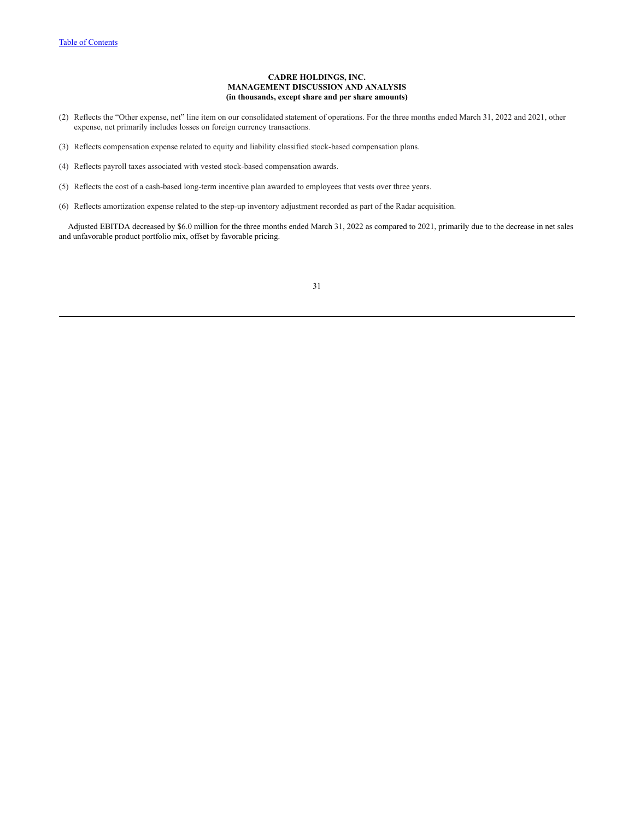- (2) Reflects the "Other expense, net" line item on our consolidated statement of operations. For the three months ended March 31, 2022 and 2021, other expense, net primarily includes losses on foreign currency transactions.
- (3) Reflects compensation expense related to equity and liability classified stock-based compensation plans.
- (4) Reflects payroll taxes associated with vested stock-based compensation awards.
- (5) Reflects the cost of a cash-based long-term incentive plan awarded to employees that vests over three years.
- (6) Reflects amortization expense related to the step-up inventory adjustment recorded as part of the Radar acquisition.

Adjusted EBITDA decreased by \$6.0 million for the three months ended March 31, 2022 as compared to 2021, primarily due to the decrease in net sales and unfavorable product portfolio mix, offset by favorable pricing.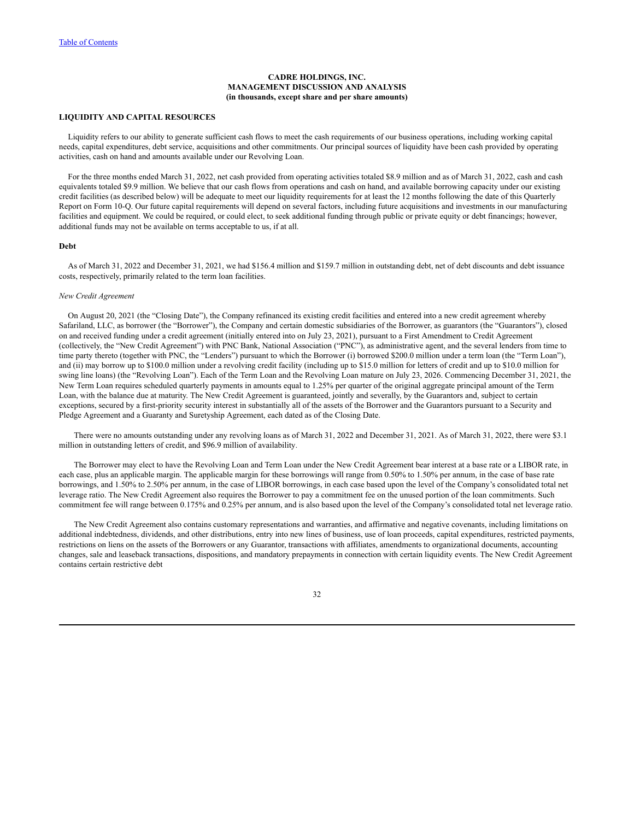#### **LIQUIDITY AND CAPITAL RESOURCES**

Liquidity refers to our ability to generate sufficient cash flows to meet the cash requirements of our business operations, including working capital needs, capital expenditures, debt service, acquisitions and other commitments. Our principal sources of liquidity have been cash provided by operating activities, cash on hand and amounts available under our Revolving Loan.

For the three months ended March 31, 2022, net cash provided from operating activities totaled \$8.9 million and as of March 31, 2022, cash and cash equivalents totaled \$9.9 million. We believe that our cash flows from operations and cash on hand, and available borrowing capacity under our existing credit facilities (as described below) will be adequate to meet our liquidity requirements for at least the 12 months following the date of this Quarterly Report on Form 10-Q. Our future capital requirements will depend on several factors, including future acquisitions and investments in our manufacturing facilities and equipment. We could be required, or could elect, to seek additional funding through public or private equity or debt financings; however, additional funds may not be available on terms acceptable to us, if at all.

#### **Debt**

As of March 31, 2022 and December 31, 2021, we had \$156.4 million and \$159.7 million in outstanding debt, net of debt discounts and debt issuance costs, respectively, primarily related to the term loan facilities.

#### *New Credit Agreement*

On August 20, 2021 (the "Closing Date"), the Company refinanced its existing credit facilities and entered into a new credit agreement whereby Safariland, LLC, as borrower (the "Borrower"), the Company and certain domestic subsidiaries of the Borrower, as guarantors (the "Guarantors"), closed on and received funding under a credit agreement (initially entered into on July 23, 2021), pursuant to a First Amendment to Credit Agreement (collectively, the "New Credit Agreement") with PNC Bank, National Association ("PNC"), as administrative agent, and the several lenders from time to time party thereto (together with PNC, the "Lenders") pursuant to which the Borrower (i) borrowed \$200.0 million under a term loan (the "Term Loan"), and (ii) may borrow up to \$100.0 million under a revolving credit facility (including up to \$15.0 million for letters of credit and up to \$10.0 million for swing line loans) (the "Revolving Loan"). Each of the Term Loan and the Revolving Loan mature on July 23, 2026. Commencing December 31, 2021, the New Term Loan requires scheduled quarterly payments in amounts equal to 1.25% per quarter of the original aggregate principal amount of the Term Loan, with the balance due at maturity. The New Credit Agreement is guaranteed, jointly and severally, by the Guarantors and, subject to certain exceptions, secured by a first-priority security interest in substantially all of the assets of the Borrower and the Guarantors pursuant to a Security and Pledge Agreement and a Guaranty and Suretyship Agreement, each dated as of the Closing Date.

There were no amounts outstanding under any revolving loans as of March 31, 2022 and December 31, 2021. As of March 31, 2022, there were \$3.1 million in outstanding letters of credit, and \$96.9 million of availability.

The Borrower may elect to have the Revolving Loan and Term Loan under the New Credit Agreement bear interest at a base rate or a LIBOR rate, in each case, plus an applicable margin. The applicable margin for these borrowings will range from 0.50% to 1.50% per annum, in the case of base rate borrowings, and 1.50% to 2.50% per annum, in the case of LIBOR borrowings, in each case based upon the level of the Company's consolidated total net leverage ratio. The New Credit Agreement also requires the Borrower to pay a commitment fee on the unused portion of the loan commitments. Such commitment fee will range between 0.175% and 0.25% per annum, and is also based upon the level of the Company's consolidated total net leverage ratio.

The New Credit Agreement also contains customary representations and warranties, and affirmative and negative covenants, including limitations on additional indebtedness, dividends, and other distributions, entry into new lines of business, use of loan proceeds, capital expenditures, restricted payments, restrictions on liens on the assets of the Borrowers or any Guarantor, transactions with affiliates, amendments to organizational documents, accounting changes, sale and leaseback transactions, dispositions, and mandatory prepayments in connection with certain liquidity events. The New Credit Agreement contains certain restrictive debt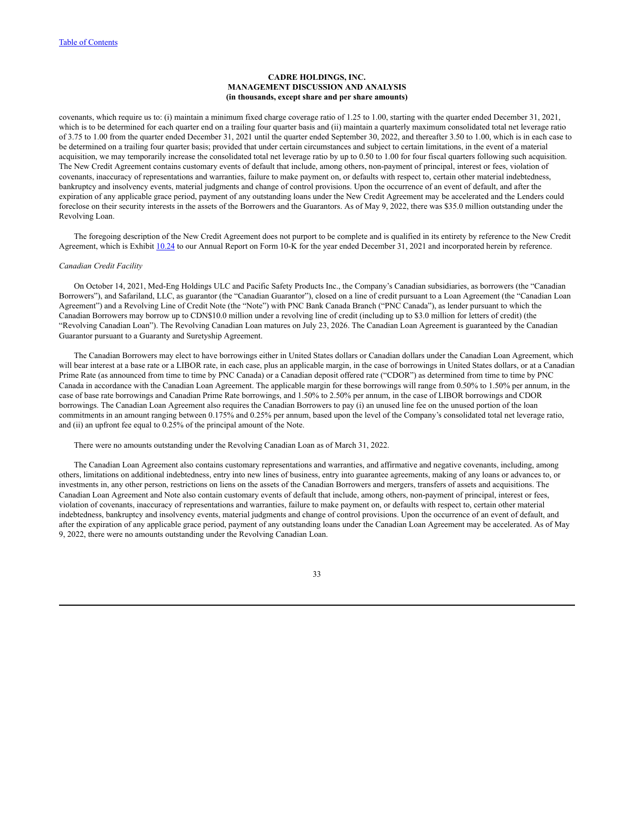covenants, which require us to: (i) maintain a minimum fixed charge coverage ratio of 1.25 to 1.00, starting with the quarter ended December 31, 2021, which is to be determined for each quarter end on a trailing four quarter basis and (ii) maintain a quarterly maximum consolidated total net leverage ratio of 3.75 to 1.00 from the quarter ended December 31, 2021 until the quarter ended September 30, 2022, and thereafter 3.50 to 1.00, which is in each case to be determined on a trailing four quarter basis; provided that under certain circumstances and subject to certain limitations, in the event of a material acquisition, we may temporarily increase the consolidated total net leverage ratio by up to 0.50 to 1.00 for four fiscal quarters following such acquisition. The New Credit Agreement contains customary events of default that include, among others, non-payment of principal, interest or fees, violation of covenants, inaccuracy of representations and warranties, failure to make payment on, or defaults with respect to, certain other material indebtedness, bankruptcy and insolvency events, material judgments and change of control provisions. Upon the occurrence of an event of default, and after the expiration of any applicable grace period, payment of any outstanding loans under the New Credit Agreement may be accelerated and the Lenders could foreclose on their security interests in the assets of the Borrowers and the Guarantors. As of May 9, 2022, there was \$35.0 million outstanding under the Revolving Loan.

The foregoing description of the New Credit Agreement does not purport to be complete and is qualified in its entirety by reference to the New Credit Agreement, which is Exhibit [10.24](https://www.sec.gov/Archives/edgar/data/1860543/000110465921114793/tm2115376d26_ex10-24.htm) to our Annual Report on Form 10-K for the year ended December 31, 2021 and incorporated herein by reference.

### *Canadian Credit Facility*

On October 14, 2021, Med-Eng Holdings ULC and Pacific Safety Products Inc., the Company's Canadian subsidiaries, as borrowers (the "Canadian Borrowers"), and Safariland, LLC, as guarantor (the "Canadian Guarantor"), closed on a line of credit pursuant to a Loan Agreement (the "Canadian Loan Agreement") and a Revolving Line of Credit Note (the "Note") with PNC Bank Canada Branch ("PNC Canada"), as lender pursuant to which the Canadian Borrowers may borrow up to CDN\$10.0 million under a revolving line of credit (including up to \$3.0 million for letters of credit) (the "Revolving Canadian Loan"). The Revolving Canadian Loan matures on July 23, 2026. The Canadian Loan Agreement is guaranteed by the Canadian Guarantor pursuant to a Guaranty and Suretyship Agreement.

The Canadian Borrowers may elect to have borrowings either in United States dollars or Canadian dollars under the Canadian Loan Agreement, which will bear interest at a base rate or a LIBOR rate, in each case, plus an applicable margin, in the case of borrowings in United States dollars, or at a Canadian Prime Rate (as announced from time to time by PNC Canada) or a Canadian deposit offered rate ("CDOR") as determined from time to time by PNC Canada in accordance with the Canadian Loan Agreement. The applicable margin for these borrowings will range from 0.50% to 1.50% per annum, in the case of base rate borrowings and Canadian Prime Rate borrowings, and 1.50% to 2.50% per annum, in the case of LIBOR borrowings and CDOR borrowings. The Canadian Loan Agreement also requires the Canadian Borrowers to pay (i) an unused line fee on the unused portion of the loan commitments in an amount ranging between 0.175% and 0.25% per annum, based upon the level of the Company's consolidated total net leverage ratio, and (ii) an upfront fee equal to 0.25% of the principal amount of the Note.

There were no amounts outstanding under the Revolving Canadian Loan as of March 31, 2022.

The Canadian Loan Agreement also contains customary representations and warranties, and affirmative and negative covenants, including, among others, limitations on additional indebtedness, entry into new lines of business, entry into guarantee agreements, making of any loans or advances to, or investments in, any other person, restrictions on liens on the assets of the Canadian Borrowers and mergers, transfers of assets and acquisitions. The Canadian Loan Agreement and Note also contain customary events of default that include, among others, non-payment of principal, interest or fees, violation of covenants, inaccuracy of representations and warranties, failure to make payment on, or defaults with respect to, certain other material indebtedness, bankruptcy and insolvency events, material judgments and change of control provisions. Upon the occurrence of an event of default, and after the expiration of any applicable grace period, payment of any outstanding loans under the Canadian Loan Agreement may be accelerated. As of May 9, 2022, there were no amounts outstanding under the Revolving Canadian Loan.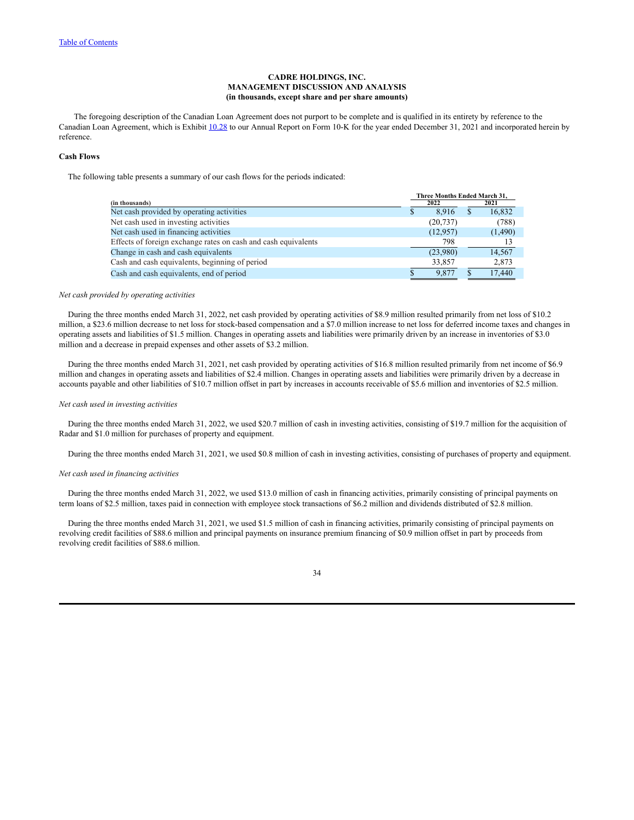The foregoing description of the Canadian Loan Agreement does not purport to be complete and is qualified in its entirety by reference to the Canadian Loan Agreement, which is Exhibit [10.28](https://www.sec.gov/Archives/edgar/data/1860543/000110465921131165/tm2115376d28_ex10-28.htm) to our Annual Report on Form 10-K for the year ended December 31, 2021 and incorporated herein by reference.

### **Cash Flows**

The following table presents a summary of our cash flows for the periods indicated:

|                                                                |  | Three Months Ended March 31, |  |         |  |  |
|----------------------------------------------------------------|--|------------------------------|--|---------|--|--|
| (in thousands)                                                 |  | 2022                         |  | 2021    |  |  |
| Net cash provided by operating activities                      |  | 8.916                        |  | 16,832  |  |  |
| Net cash used in investing activities                          |  | (20, 737)                    |  | (788)   |  |  |
| Net cash used in financing activities                          |  | (12, 957)                    |  | (1,490) |  |  |
| Effects of foreign exchange rates on cash and cash equivalents |  | 798                          |  | 13      |  |  |
| Change in cash and cash equivalents                            |  | (23,980)                     |  | 14,567  |  |  |
| Cash and cash equivalents, beginning of period                 |  | 33,857                       |  | 2,873   |  |  |
| Cash and cash equivalents, end of period                       |  | 9.877                        |  | 17,440  |  |  |

#### *Net cash provided by operating activities*

During the three months ended March 31, 2022, net cash provided by operating activities of \$8.9 million resulted primarily from net loss of \$10.2 million, a \$23.6 million decrease to net loss for stock-based compensation and a \$7.0 million increase to net loss for deferred income taxes and changes in operating assets and liabilities of \$1.5 million. Changes in operating assets and liabilities were primarily driven by an increase in inventories of \$3.0 million and a decrease in prepaid expenses and other assets of \$3.2 million.

During the three months ended March 31, 2021, net cash provided by operating activities of \$16.8 million resulted primarily from net income of \$6.9 million and changes in operating assets and liabilities of \$2.4 million. Changes in operating assets and liabilities were primarily driven by a decrease in accounts payable and other liabilities of \$10.7 million offset in part by increases in accounts receivable of \$5.6 million and inventories of \$2.5 million.

#### *Net cash used in investing activities*

During the three months ended March 31, 2022, we used \$20.7 million of cash in investing activities, consisting of \$19.7 million for the acquisition of Radar and \$1.0 million for purchases of property and equipment.

During the three months ended March 31, 2021, we used \$0.8 million of cash in investing activities, consisting of purchases of property and equipment.

#### *Net cash used in financing activities*

During the three months ended March 31, 2022, we used \$13.0 million of cash in financing activities, primarily consisting of principal payments on term loans of \$2.5 million, taxes paid in connection with employee stock transactions of \$6.2 million and dividends distributed of \$2.8 million.

During the three months ended March 31, 2021, we used \$1.5 million of cash in financing activities, primarily consisting of principal payments on revolving credit facilities of \$88.6 million and principal payments on insurance premium financing of \$0.9 million offset in part by proceeds from revolving credit facilities of \$88.6 million.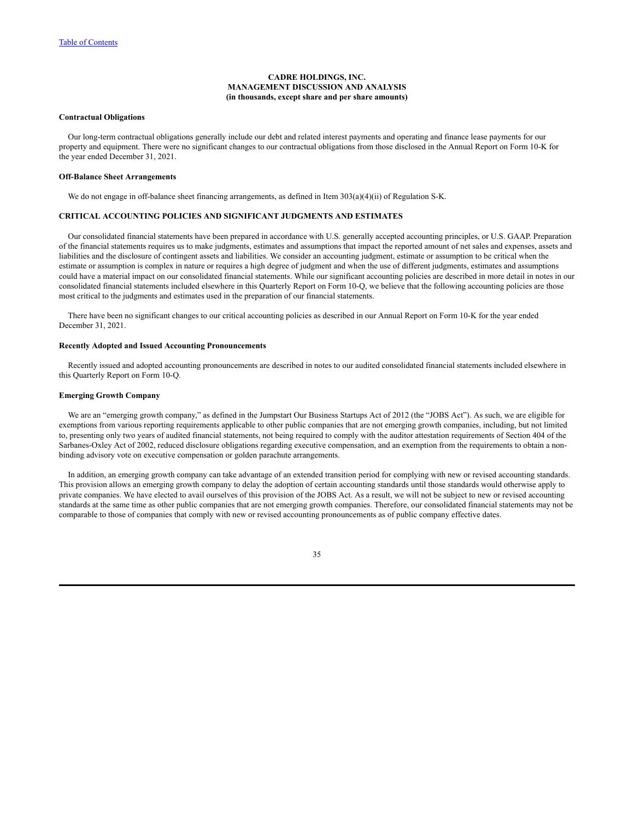#### **Contractual Obligations**

Our long-term contractual obligations generally include our debt and related interest payments and operating and finance lease payments for our property and equipment. There were no significant changes to our contractual obligations from those disclosed in the Annual Report on Form 10-K for the year ended December 31, 2021.

#### **Off-Balance Sheet Arrangements**

We do not engage in off-balance sheet financing arrangements, as defined in Item 303(a)(4)(ii) of Regulation S-K.

## **CRITICAL ACCOUNTING POLICIES AND SIGNIFICANT JUDGMENTS AND ESTIMATES**

Our consolidated financial statements have been prepared in accordance with U.S. generally accepted accounting principles, or U.S. GAAP. Preparation of the financial statements requires us to make judgments, estimates and assumptions that impact the reported amount of net sales and expenses, assets and liabilities and the disclosure of contingent assets and liabilities. We consider an accounting judgment, estimate or assumption to be critical when the estimate or assumption is complex in nature or requires a high degree of judgment and when the use of different judgments, estimates and assumptions could have a material impact on our consolidated financial statements. While our significant accounting policies are described in more detail in notes in our consolidated financial statements included elsewhere in this Quarterly Report on Form 10-Q, we believe that the following accounting policies are those most critical to the judgments and estimates used in the preparation of our financial statements.

There have been no significant changes to our critical accounting policies as described in our Annual Report on Form 10-K for the year ended December 31, 2021.

#### **Recently Adopted and Issued Accounting Pronouncements**

Recently issued and adopted accounting pronouncements are described in notes to our audited consolidated financial statements included elsewhere in this Quarterly Report on Form 10-Q.

#### **Emerging Growth Company**

We are an "emerging growth company," as defined in the Jumpstart Our Business Startups Act of 2012 (the "JOBS Act"). As such, we are eligible for exemptions from various reporting requirements applicable to other public companies that are not emerging growth companies, including, but not limited to, presenting only two years of audited financial statements, not being required to comply with the auditor attestation requirements of Section 404 of the Sarbanes-Oxley Act of 2002, reduced disclosure obligations regarding executive compensation, and an exemption from the requirements to obtain a nonbinding advisory vote on executive compensation or golden parachute arrangements.

In addition, an emerging growth company can take advantage of an extended transition period for complying with new or revised accounting standards. This provision allows an emerging growth company to delay the adoption of certain accounting standards until those standards would otherwise apply to private companies. We have elected to avail ourselves of this provision of the JOBS Act. As a result, we will not be subject to new or revised accounting standards at the same time as other public companies that are not emerging growth companies. Therefore, our consolidated financial statements may not be comparable to those of companies that comply with new or revised accounting pronouncements as of public company effective dates.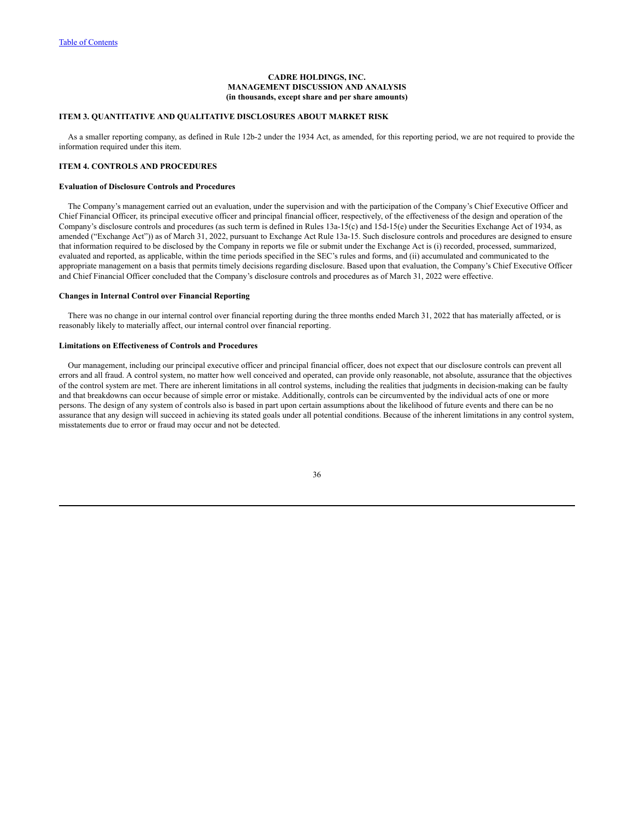#### <span id="page-35-0"></span>**ITEM 3. QUANTITATIVE AND QUALITATIVE DISCLOSURES ABOUT MARKET RISK**

As a smaller reporting company, as defined in Rule 12b-2 under the 1934 Act, as amended, for this reporting period, we are not required to provide the information required under this item.

#### <span id="page-35-1"></span>**ITEM 4. CONTROLS AND PROCEDURES**

## **Evaluation of Disclosure Controls and Procedures**

The Company's management carried out an evaluation, under the supervision and with the participation of the Company's Chief Executive Officer and Chief Financial Officer, its principal executive officer and principal financial officer, respectively, of the effectiveness of the design and operation of the Company's disclosure controls and procedures (as such term is defined in Rules 13a-15(c) and 15d-15(e) under the Securities Exchange Act of 1934, as amended ("Exchange Act")) as of March 31, 2022, pursuant to Exchange Act Rule 13a-15. Such disclosure controls and procedures are designed to ensure that information required to be disclosed by the Company in reports we file or submit under the Exchange Act is (i) recorded, processed, summarized, evaluated and reported, as applicable, within the time periods specified in the SEC's rules and forms, and (ii) accumulated and communicated to the appropriate management on a basis that permits timely decisions regarding disclosure. Based upon that evaluation, the Company's Chief Executive Officer and Chief Financial Officer concluded that the Company's disclosure controls and procedures as of March 31, 2022 were effective.

#### **Changes in Internal Control over Financial Reporting**

There was no change in our internal control over financial reporting during the three months ended March 31, 2022 that has materially affected, or is reasonably likely to materially affect, our internal control over financial reporting.

#### **Limitations on Effectiveness of Controls and Procedures**

Our management, including our principal executive officer and principal financial officer, does not expect that our disclosure controls can prevent all errors and all fraud. A control system, no matter how well conceived and operated, can provide only reasonable, not absolute, assurance that the objectives of the control system are met. There are inherent limitations in all control systems, including the realities that judgments in decision-making can be faulty and that breakdowns can occur because of simple error or mistake. Additionally, controls can be circumvented by the individual acts of one or more persons. The design of any system of controls also is based in part upon certain assumptions about the likelihood of future events and there can be no assurance that any design will succeed in achieving its stated goals under all potential conditions. Because of the inherent limitations in any control system, misstatements due to error or fraud may occur and not be detected.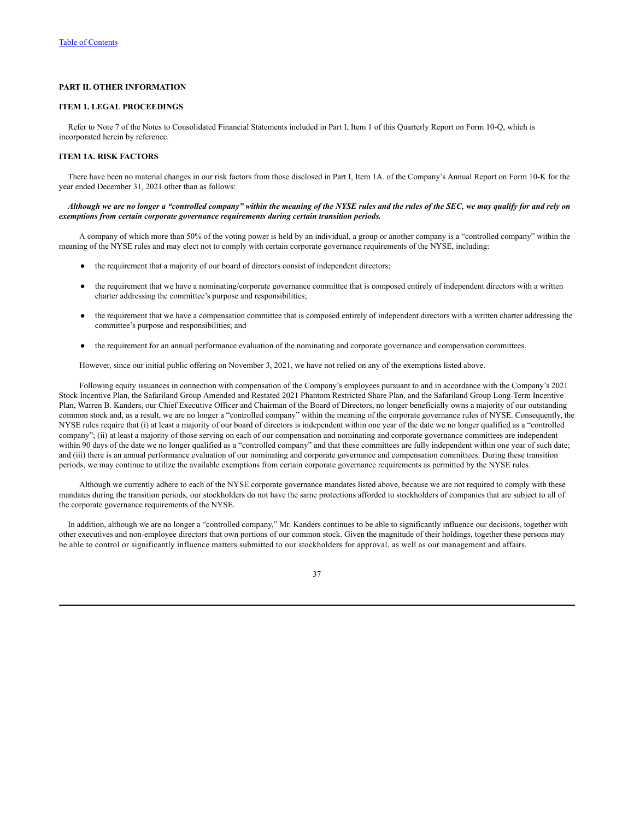#### <span id="page-36-0"></span>**PART II. OTHER INFORMATION**

## <span id="page-36-1"></span>**ITEM 1. LEGAL PROCEEDINGS**

Refer to Note 7 of the Notes to Consolidated Financial Statements included in Part I, Item 1 of this Quarterly Report on Form 10-Q, which is incorporated herein by reference.

## <span id="page-36-2"></span>**ITEM 1A. RISK FACTORS**

There have been no material changes in our risk factors from those disclosed in Part I, Item 1A. of the Company's Annual Report on Form 10-K for the year ended December 31, 2021 other than as follows:

## Although we are no longer a "controlled company" within the meaning of the NYSE rules and the rules of the SEC, we may qualify for and rely on *exemptions from certain corporate governance requirements during certain transition periods.*

A company of which more than 50% of the voting power is held by an individual, a group or another company is a "controlled company" within the meaning of the NYSE rules and may elect not to comply with certain corporate governance requirements of the NYSE, including:

- the requirement that a majority of our board of directors consist of independent directors;
- the requirement that we have a nominating/corporate governance committee that is composed entirely of independent directors with a written charter addressing the committee's purpose and responsibilities;
- the requirement that we have a compensation committee that is composed entirely of independent directors with a written charter addressing the committee's purpose and responsibilities; and
- the requirement for an annual performance evaluation of the nominating and corporate governance and compensation committees.

However, since our initial public offering on November 3, 2021, we have not relied on any of the exemptions listed above.

Following equity issuances in connection with compensation of the Company's employees pursuant to and in accordance with the Company's 2021 Stock Incentive Plan, the Safariland Group Amended and Restated 2021 Phantom Restricted Share Plan, and the Safariland Group Long-Term Incentive Plan, Warren B. Kanders, our Chief Executive Officer and Chairman of the Board of Directors, no longer beneficially owns a majority of our outstanding common stock and, as a result, we are no longer a "controlled company" within the meaning of the corporate governance rules of NYSE. Consequently, the NYSE rules require that (i) at least a majority of our board of directors is independent within one year of the date we no longer qualified as a "controlled company"; (ii) at least a majority of those serving on each of our compensation and nominating and corporate governance committees are independent within 90 days of the date we no longer qualified as a "controlled company" and that these committees are fully independent within one year of such date; and (iii) there is an annual performance evaluation of our nominating and corporate governance and compensation committees. During these transition periods, we may continue to utilize the available exemptions from certain corporate governance requirements as permitted by the NYSE rules.

Although we currently adhere to each of the NYSE corporate governance mandates listed above, because we are not required to comply with these mandates during the transition periods, our stockholders do not have the same protections afforded to stockholders of companies that are subject to all of the corporate governance requirements of the NYSE.

In addition, although we are no longer a "controlled company," Mr. Kanders continues to be able to significantly influence our decisions, together with other executives and non-employee directors that own portions of our common stock. Given the magnitude of their holdings, together these persons may be able to control or significantly influence matters submitted to our stockholders for approval, as well as our management and affairs.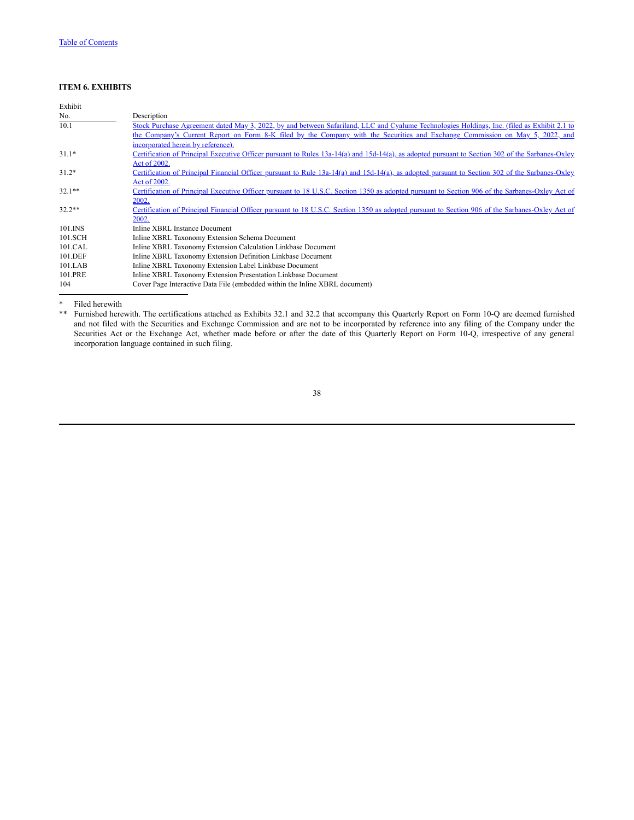# <span id="page-37-0"></span>**ITEM 6. EXHIBITS**

| Exhibit    |                                                                                                                                                  |
|------------|--------------------------------------------------------------------------------------------------------------------------------------------------|
| No.        | Description                                                                                                                                      |
| 10.1       | Stock Purchase Agreement dated May 3, 2022, by and between Safariland, LLC and Cyalume Technologies Holdings, Inc. (filed as Exhibit 2.1 to      |
|            | the Company's Current Report on Form 8-K filed by the Company with the Securities and Exchange Commission on May 5, 2022, and                    |
|            | incorporated herein by reference).                                                                                                               |
| $31.1*$    | Certification of Principal Executive Officer pursuant to Rules 13a-14(a) and 15d-14(a), as adopted pursuant to Section 302 of the Sarbanes-Oxley |
|            | Act of 2002.                                                                                                                                     |
| $31.2*$    | Certification of Principal Financial Officer pursuant to Rule 13a-14(a) and 15d-14(a), as adopted pursuant to Section 302 of the Sarbanes-Oxley  |
|            | Act of 2002.                                                                                                                                     |
| $32.1**$   | Certification of Principal Executive Officer pursuant to 18 U.S.C. Section 1350 as adopted pursuant to Section 906 of the Sarbanes-Oxley Act of  |
|            | 2002.                                                                                                                                            |
| $32.2**$   | Certification of Principal Financial Officer pursuant to 18 U.S.C. Section 1350 as adopted pursuant to Section 906 of the Sarbanes-Oxley Act of  |
|            | 2002.                                                                                                                                            |
| 101.INS    | Inline XBRL Instance Document                                                                                                                    |
| 101.SCH    | Inline XBRL Taxonomy Extension Schema Document                                                                                                   |
| $101$ .CAL | Inline XBRL Taxonomy Extension Calculation Linkbase Document                                                                                     |
| 101.DEF    | Inline XBRL Taxonomy Extension Definition Linkbase Document                                                                                      |
| $101$ .LAB | Inline XBRL Taxonomy Extension Label Linkbase Document                                                                                           |
| 101.PRE    | Inline XBRL Taxonomy Extension Presentation Linkbase Document                                                                                    |
| 104        | Cover Page Interactive Data File (embedded within the Inline XBRL document)                                                                      |

\* Filed herewith

\*\* Furnished herewith. The certifications attached as Exhibits 32.1 and 32.2 that accompany this Quarterly Report on Form 10-Q are deemed furnished and not filed with the Securities and Exchange Commission and are not to be incorporated by reference into any filing of the Company under the Securities Act or the Exchange Act, whether made before or after the date of this Quarterly Report on Form 10-Q, irrespective of any general incorporation language contained in such filing.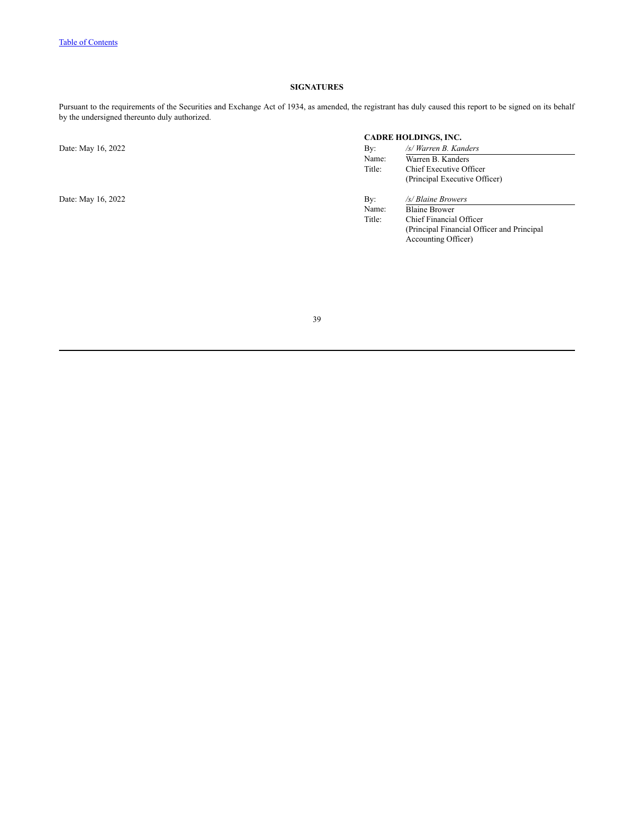# **SIGNATURES**

<span id="page-38-0"></span>Pursuant to the requirements of the Securities and Exchange Act of 1934, as amended, the registrant has duly caused this report to be signed on its behalf by the undersigned thereunto duly authorized.

Date: *May* 16, 2022

Date: May 16, 2022 *Is/ Blaine Browers* **By:** */s/ Blaine Browers* 

# **CADRE HOLDINGS, INC.**

| By:    | /s/ Warren B. Kanders         |
|--------|-------------------------------|
| Name:  | Warren B. Kanders             |
| Title: | Chief Executive Officer       |
|        | (Principal Executive Officer) |
|        |                               |
|        |                               |

| …ν.    | 7 <i>31 Diame Divircis</i>                 |
|--------|--------------------------------------------|
| Name:  | <b>Blaine Brower</b>                       |
| Title: | Chief Financial Officer                    |
|        | (Principal Financial Officer and Principal |
|        | Accounting Officer)                        |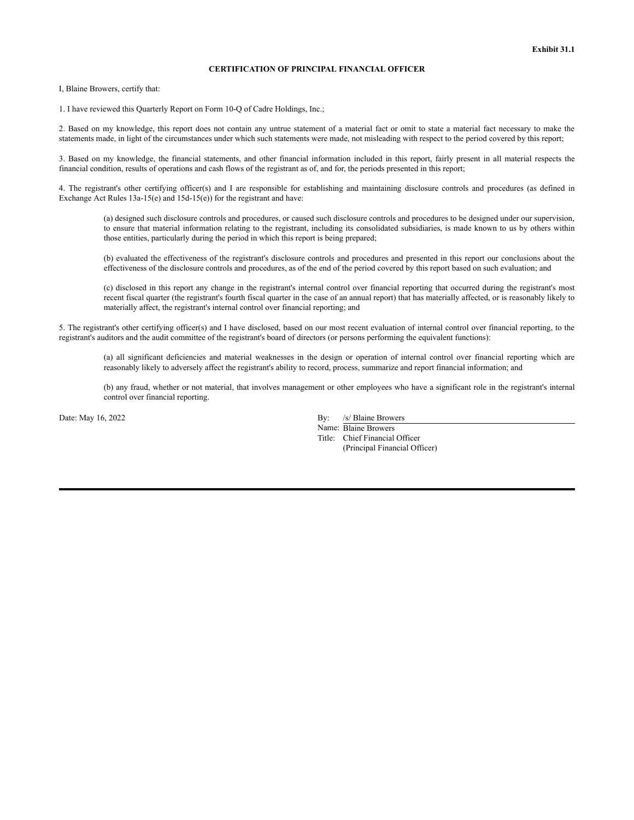## **CERTIFICATION OF PRINCIPAL FINANCIAL OFFICER**

I, Blaine Browers, certify that:

1. I have reviewed this Quarterly Report on Form 10-Q of Cadre Holdings, Inc.;

2. Based on my knowledge, this report does not contain any untrue statement of a material fact or omit to state a material fact necessary to make the statements made, in light of the circumstances under which such statements were made, not misleading with respect to the period covered by this report;

3. Based on my knowledge, the financial statements, and other financial information included in this report, fairly present in all material respects the financial condition, results of operations and cash flows of the registrant as of, and for, the periods presented in this report;

4. The registrant's other certifying officer(s) and I are responsible for establishing and maintaining disclosure controls and procedures (as defined in Exchange Act Rules 13a-15(e) and 15d-15(e)) for the registrant and have:

(a) designed such disclosure controls and procedures, or caused such disclosure controls and procedures to be designed under our supervision, to ensure that material information relating to the registrant, including its consolidated subsidiaries, is made known to us by others within those entities, particularly during the period in which this report is being prepared;

(b) evaluated the effectiveness of the registrant's disclosure controls and procedures and presented in this report our conclusions about the effectiveness of the disclosure controls and procedures, as of the end of the period covered by this report based on such evaluation; and

(c) disclosed in this report any change in the registrant's internal control over financial reporting that occurred during the registrant's most recent fiscal quarter (the registrant's fourth fiscal quarter in the case of an annual report) that has materially affected, or is reasonably likely to materially affect, the registrant's internal control over financial reporting; and

5. The registrant's other certifying officer(s) and I have disclosed, based on our most recent evaluation of internal control over financial reporting, to the registrant's auditors and the audit committee of the registrant's board of directors (or persons performing the equivalent functions):

(a) all significant deficiencies and material weaknesses in the design or operation of internal control over financial reporting which are reasonably likely to adversely affect the registrant's ability to record, process, summarize and report financial information; and

(b) any fraud, whether or not material, that involves management or other employees who have a significant role in the registrant's internal control over financial reporting.

Date: May 16, 2022 By: /s/ Blaine Browers Name: Blaine Browers

Title: Chief Financial Officer (Principal Financial Officer)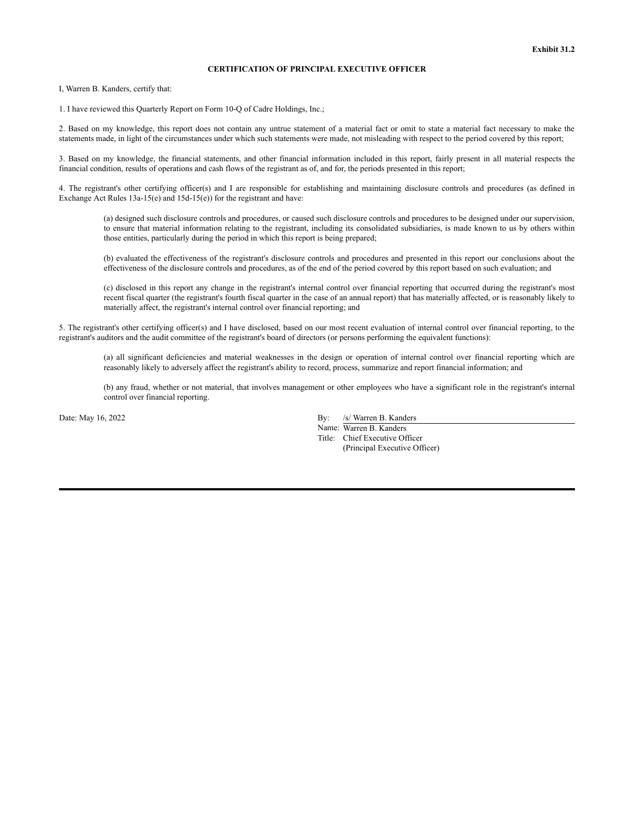## **CERTIFICATION OF PRINCIPAL EXECUTIVE OFFICER**

I, Warren B. Kanders, certify that:

1. I have reviewed this Quarterly Report on Form 10-Q of Cadre Holdings, Inc.;

2. Based on my knowledge, this report does not contain any untrue statement of a material fact or omit to state a material fact necessary to make the statements made, in light of the circumstances under which such statements were made, not misleading with respect to the period covered by this report;

3. Based on my knowledge, the financial statements, and other financial information included in this report, fairly present in all material respects the financial condition, results of operations and cash flows of the registrant as of, and for, the periods presented in this report;

4. The registrant's other certifying officer(s) and I are responsible for establishing and maintaining disclosure controls and procedures (as defined in Exchange Act Rules 13a-15(e) and 15d-15(e)) for the registrant and have:

(a) designed such disclosure controls and procedures, or caused such disclosure controls and procedures to be designed under our supervision, to ensure that material information relating to the registrant, including its consolidated subsidiaries, is made known to us by others within those entities, particularly during the period in which this report is being prepared;

(b) evaluated the effectiveness of the registrant's disclosure controls and procedures and presented in this report our conclusions about the effectiveness of the disclosure controls and procedures, as of the end of the period covered by this report based on such evaluation; and

(c) disclosed in this report any change in the registrant's internal control over financial reporting that occurred during the registrant's most recent fiscal quarter (the registrant's fourth fiscal quarter in the case of an annual report) that has materially affected, or is reasonably likely to materially affect, the registrant's internal control over financial reporting; and

5. The registrant's other certifying officer(s) and I have disclosed, based on our most recent evaluation of internal control over financial reporting, to the registrant's auditors and the audit committee of the registrant's board of directors (or persons performing the equivalent functions):

(a) all significant deficiencies and material weaknesses in the design or operation of internal control over financial reporting which are reasonably likely to adversely affect the registrant's ability to record, process, summarize and report financial information; and

(b) any fraud, whether or not material, that involves management or other employees who have a significant role in the registrant's internal control over financial reporting.

Date: May 16, 2022 By: /s/ Warren B. Kanders Name: Warren B. Kanders

Title: Chief Executive Officer (Principal Executive Officer)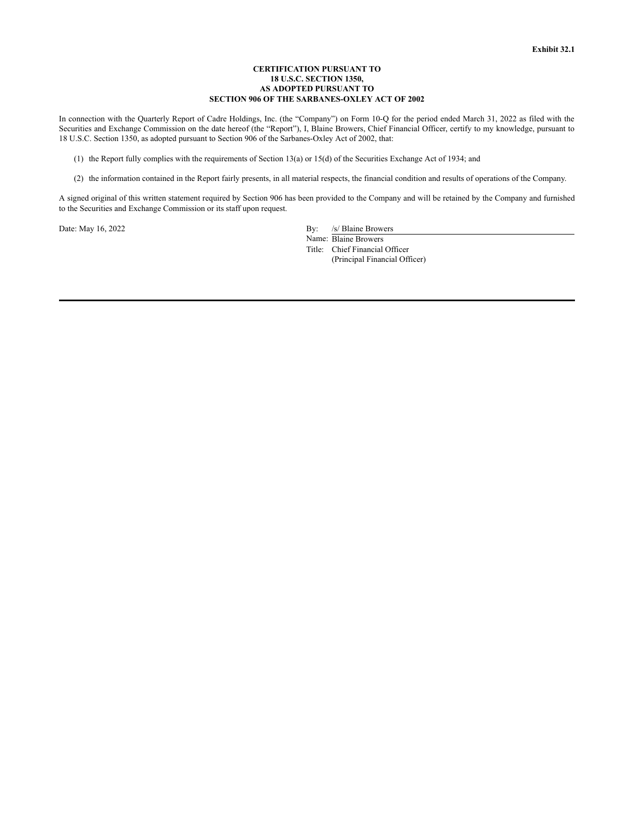## **CERTIFICATION PURSUANT TO 18 U.S.C. SECTION 1350, AS ADOPTED PURSUANT TO SECTION 906 OF THE SARBANES-OXLEY ACT OF 2002**

In connection with the Quarterly Report of Cadre Holdings, Inc. (the "Company") on Form 10-Q for the period ended March 31, 2022 as filed with the Securities and Exchange Commission on the date hereof (the "Report"), I, Blaine Browers, Chief Financial Officer, certify to my knowledge, pursuant to 18 U.S.C. Section 1350, as adopted pursuant to Section 906 of the Sarbanes-Oxley Act of 2002, that:

(1) the Report fully complies with the requirements of Section 13(a) or 15(d) of the Securities Exchange Act of 1934; and

(2) the information contained in the Report fairly presents, in all material respects, the financial condition and results of operations of the Company.

A signed original of this written statement required by Section 906 has been provided to the Company and will be retained by the Company and furnished to the Securities and Exchange Commission or its staff upon request.

Date: May 16, 2022 By: /s/ Blaine Browers

Name: Blaine Browers Title: Chief Financial Officer (Principal Financial Officer)